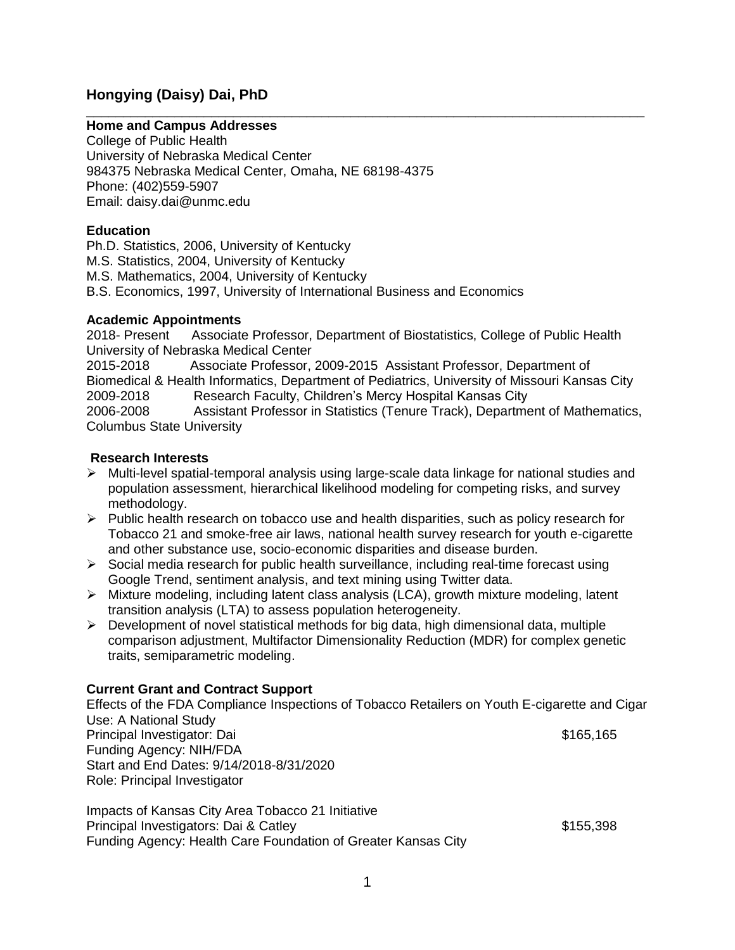# **Hongying (Daisy) Dai, PhD**

# **Home and Campus Addresses**

College of Public Health University of Nebraska Medical Center 984375 Nebraska Medical Center, Omaha, NE 68198-4375 Phone: (402)559-5907 Email: daisy.dai@unmc.edu

## **Education**

Ph.D. Statistics, 2006, University of Kentucky M.S. Statistics, 2004, University of Kentucky M.S. Mathematics, 2004, University of Kentucky B.S. Economics, 1997, University of International Business and Economics

## **Academic Appointments**

2018- Present Associate Professor, Department of Biostatistics, College of Public Health University of Nebraska Medical Center 2015-2018 Associate Professor, 2009-2015 Assistant Professor, Department of Biomedical & Health Informatics, Department of Pediatrics, University of Missouri Kansas City 2009-2018 Research Faculty, Children's Mercy Hospital Kansas City 2006-2008 Assistant Professor in Statistics (Tenure Track), Department of Mathematics, Columbus State University

\_\_\_\_\_\_\_\_\_\_\_\_\_\_\_\_\_\_\_\_\_\_\_\_\_\_\_\_\_\_\_\_\_\_\_\_\_\_\_\_\_\_\_\_\_\_\_\_\_\_\_\_\_\_\_\_\_\_\_\_\_\_\_\_\_\_\_\_\_\_\_\_\_\_\_\_

## **Research Interests**

- $\triangleright$  Multi-level spatial-temporal analysis using large-scale data linkage for national studies and population assessment, hierarchical likelihood modeling for competing risks, and survey methodology.
- $\triangleright$  Public health research on tobacco use and health disparities, such as policy research for Tobacco 21 and smoke-free air laws, national health survey research for youth e-cigarette and other substance use, socio-economic disparities and disease burden.
- $\triangleright$  Social media research for public health surveillance, including real-time forecast using Google Trend, sentiment analysis, and text mining using Twitter data.
- $\triangleright$  Mixture modeling, including latent class analysis (LCA), growth mixture modeling, latent transition analysis (LTA) to assess population heterogeneity.
- $\triangleright$  Development of novel statistical methods for big data, high dimensional data, multiple comparison adjustment, Multifactor Dimensionality Reduction (MDR) for complex genetic traits, semiparametric modeling.

# **Current Grant and Contract Support**

Effects of the FDA Compliance Inspections of Tobacco Retailers on Youth E-cigarette and Cigar Use: A National Study Principal Investigator: Dai  $$165,165$ Funding Agency: NIH/FDA Start and End Dates: 9/14/2018-8/31/2020 Role: Principal Investigator

Impacts of Kansas City Area Tobacco 21 Initiative Principal Investigators: Dai & Catley **\$155,398**  $\frac{1}{5}$  \$155,398 Funding Agency: Health Care Foundation of Greater Kansas City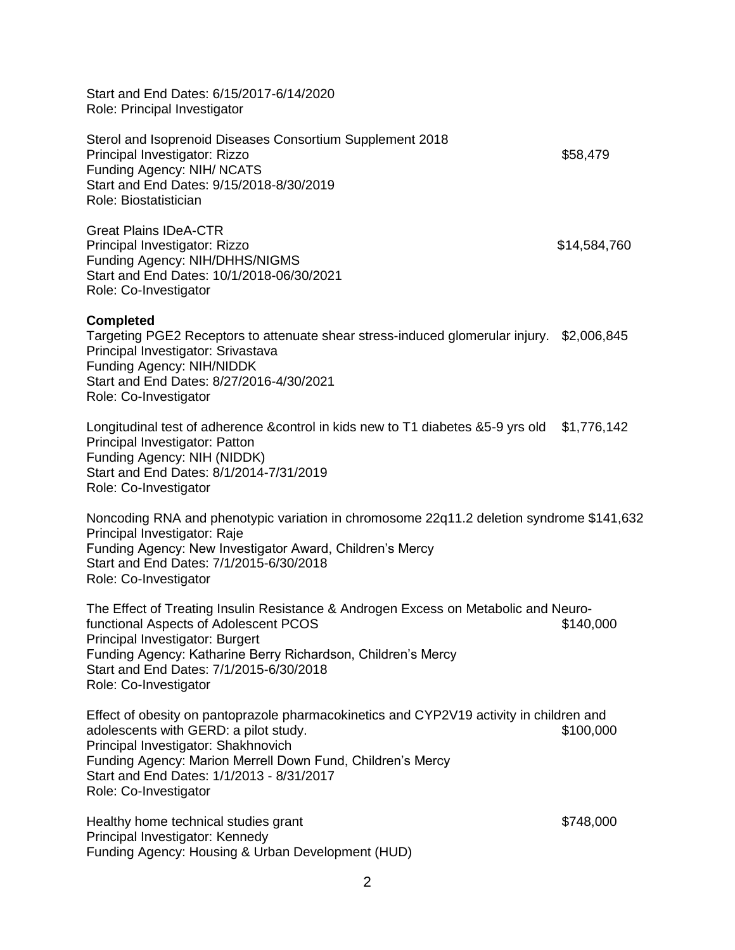Start and End Dates: 6/15/2017-6/14/2020 Role: Principal Investigator

Sterol and Isoprenoid Diseases Consortium Supplement 2018 Principal Investigator: Rizzo **\$58,479**  $\sim$  \$58,479 Funding Agency: NIH/ NCATS Start and End Dates: 9/15/2018-8/30/2019 Role: Biostatistician

Great Plains IDeA-CTR Principal Investigator: Rizzo **\$14,584,760** \$14,584,760 Funding Agency: NIH/DHHS/NIGMS Start and End Dates: 10/1/2018-06/30/2021 Role: Co-Investigator

#### **Completed**

Targeting PGE2 Receptors to attenuate shear stress-induced glomerular injury. \$2,006,845 Principal Investigator: Srivastava Funding Agency: NIH/NIDDK Start and End Dates: 8/27/2016-4/30/2021 Role: Co-Investigator

Longitudinal test of adherence &control in kids new to T1 diabetes &5-9 yrs old \$1,776,142 Principal Investigator: Patton Funding Agency: NIH (NIDDK) Start and End Dates: 8/1/2014-7/31/2019 Role: Co-Investigator

Noncoding RNA and phenotypic variation in chromosome 22q11.2 deletion syndrome \$141,632 Principal Investigator: Raje Funding Agency: New Investigator Award, Children's Mercy Start and End Dates: 7/1/2015-6/30/2018 Role: Co-Investigator

The Effect of Treating Insulin Resistance & Androgen Excess on Metabolic and Neurofunctional Aspects of Adolescent PCOS **\$140,000** \$140,000 Principal Investigator: Burgert Funding Agency: Katharine Berry Richardson, Children's Mercy Start and End Dates: 7/1/2015-6/30/2018 Role: Co-Investigator

Effect of obesity on pantoprazole pharmacokinetics and CYP2V19 activity in children and adolescents with GERD: a pilot study. **\$100,000 \$100,000** Principal Investigator: Shakhnovich Funding Agency: Marion Merrell Down Fund, Children's Mercy Start and End Dates: 1/1/2013 - 8/31/2017 Role: Co-Investigator

Healthy home technical studies grant \$748,000 healthy home technical studies grant Principal Investigator: Kennedy Funding Agency: Housing & Urban Development (HUD)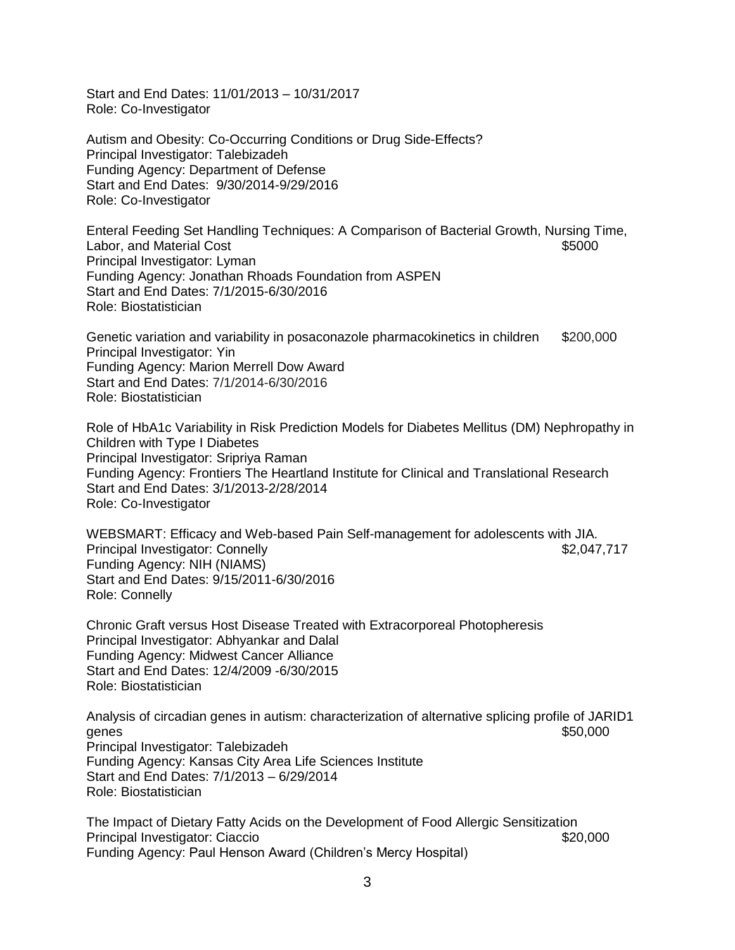Start and End Dates: 11/01/2013 – 10/31/2017 Role: Co-Investigator

Autism and Obesity: Co-Occurring Conditions or Drug Side-Effects? Principal Investigator: Talebizadeh Funding Agency: Department of Defense Start and End Dates: 9/30/2014-9/29/2016 Role: Co-Investigator

Enteral Feeding Set Handling Techniques: A Comparison of Bacterial Growth, Nursing Time, Labor, and Material Cost  $\sim$  85000 Principal Investigator: Lyman Funding Agency: Jonathan Rhoads Foundation from ASPEN Start and End Dates: 7/1/2015-6/30/2016 Role: Biostatistician

Genetic variation and variability in posaconazole pharmacokinetics in children \$200,000 Principal Investigator: Yin Funding Agency: Marion Merrell Dow Award Start and End Dates: 7/1/2014-6/30/2016 Role: Biostatistician

Role of HbA1c Variability in Risk Prediction Models for Diabetes Mellitus (DM) Nephropathy in Children with Type I Diabetes Principal Investigator: Sripriya Raman Funding Agency: Frontiers The Heartland Institute for Clinical and Translational Research Start and End Dates: 3/1/2013-2/28/2014 Role: Co-Investigator

WEBSMART: Efficacy and Web-based Pain Self-management for adolescents with JIA. Principal Investigator: Connelly **\$2,047,717** Funding Agency: NIH (NIAMS) Start and End Dates: 9/15/2011-6/30/2016 Role: Connelly

Chronic Graft versus Host Disease Treated with Extracorporeal Photopheresis Principal Investigator: Abhyankar and Dalal Funding Agency: Midwest Cancer Alliance Start and End Dates: 12/4/2009 -6/30/2015 Role: Biostatistician

Analysis of circadian genes in autism: characterization of alternative splicing profile of JARID1 genes  $$50,000$ Principal Investigator: Talebizadeh Funding Agency: Kansas City Area Life Sciences Institute Start and End Dates: 7/1/2013 – 6/29/2014 Role: Biostatistician

The Impact of Dietary Fatty Acids on the Development of Food Allergic Sensitization Principal Investigator: Ciaccio **\$20,000**  $$20,000$ Funding Agency: Paul Henson Award (Children's Mercy Hospital)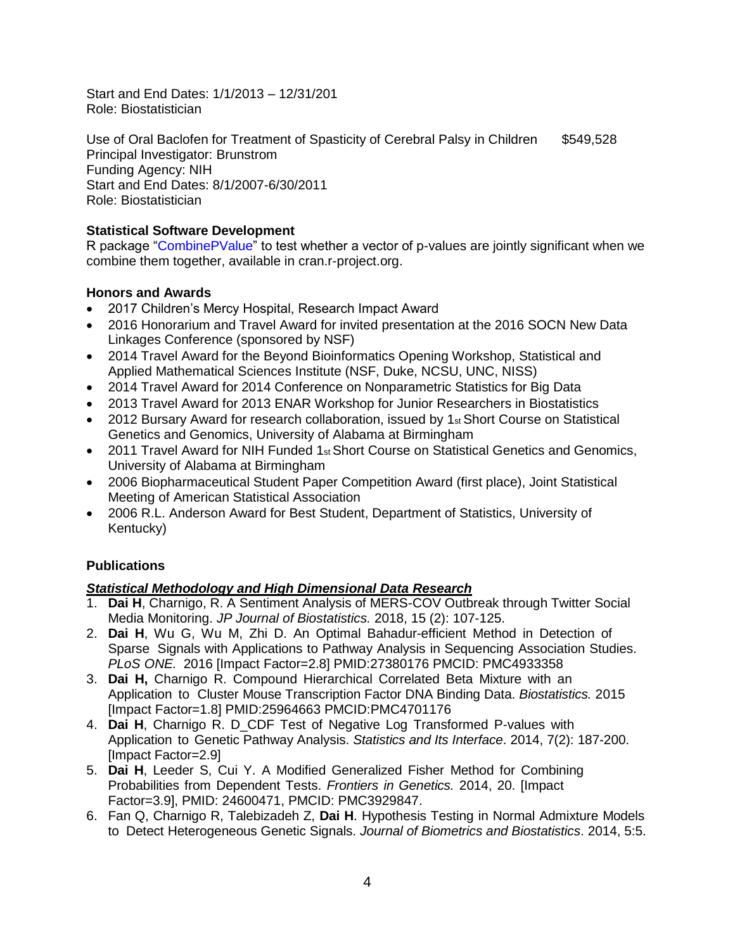Start and End Dates: 1/1/2013 – 12/31/201 Role: Biostatistician

Use of Oral Baclofen for Treatment of Spasticity of Cerebral Palsy in Children \$549,528 Principal Investigator: Brunstrom Funding Agency: NIH Start and End Dates: 8/1/2007-6/30/2011 Role: Biostatistician

# **Statistical Software Development**

R package "CombinePValue" to test whether a vector of p-values are jointly significant when we combine them together, available in cran.r-project.org.

# **Honors and Awards**

- 2017 Children's Mercy Hospital, Research Impact Award
- 2016 Honorarium and Travel Award for invited presentation at the 2016 SOCN New Data Linkages Conference (sponsored by NSF)
- 2014 Travel Award for the Beyond Bioinformatics Opening Workshop, Statistical and Applied Mathematical Sciences Institute (NSF, Duke, NCSU, UNC, NISS)
- 2014 Travel Award for 2014 Conference on Nonparametric Statistics for Big Data
- 2013 Travel Award for 2013 ENAR Workshop for Junior Researchers in Biostatistics
- 2012 Bursary Award for research collaboration, issued by  $1_{st}$  Short Course on Statistical Genetics and Genomics, University of Alabama at Birmingham
- 2011 Travel Award for NIH Funded 1<sup>st</sup> Short Course on Statistical Genetics and Genomics, University of Alabama at Birmingham
- 2006 Biopharmaceutical Student Paper Competition Award (first place), Joint Statistical Meeting of American Statistical Association
- 2006 R.L. Anderson Award for Best Student, Department of Statistics, University of Kentucky)

# **Publications**

# *Statistical Methodology and High Dimensional Data Research*

- 1. **Dai H**, Charnigo, R. A Sentiment Analysis of MERS-COV Outbreak through Twitter Social Media Monitoring. *JP Journal of Biostatistics.* 2018, 15 (2): 107-125.
- 2. **Dai H**, Wu G, Wu M, Zhi D. An Optimal Bahadur-efficient Method in Detection of Sparse Signals with Applications to Pathway Analysis in Sequencing Association Studies. *PLoS ONE.* 2016 [Impact Factor=2.8] PMID:27380176 PMCID: [PMC4933358](https://www.ncbi.nlm.nih.gov/pmc/articles/PMC4933358/)
- 3. **Dai H,** Charnigo R. Compound Hierarchical Correlated Beta Mixture with an Application to Cluster Mouse Transcription Factor DNA Binding Data. *Biostatistics.* 2015 [Impact Factor=1.8] PMID:25964663 PMCID[:PMC4701176](https://www.ncbi.nlm.nih.gov/pmc/articles/PMC4701176/)
- 4. **Dai H**, Charnigo R. D\_CDF Test of Negative Log Transformed P-values with Application to Genetic Pathway Analysis. *Statistics and Its Interface*. 2014, 7(2): 187-200. [Impact Factor=2.9]
- 5. **Dai H**, Leeder S, Cui Y. A Modified Generalized Fisher Method for Combining Probabilities from Dependent Tests. *Frontiers in Genetics.* 2014, 20. [Impact Factor=3.9], PMID: 24600471, PMCID: [PMC3929847.](https://www.ncbi.nlm.nih.gov/pmc/articles/PMC3929847/)
- 6. Fan Q, Charnigo R, Talebizadeh Z, **Dai H**. Hypothesis Testing in Normal Admixture Models to Detect Heterogeneous Genetic Signals. *Journal of Biometrics and Biostatistics*. 2014, 5:5.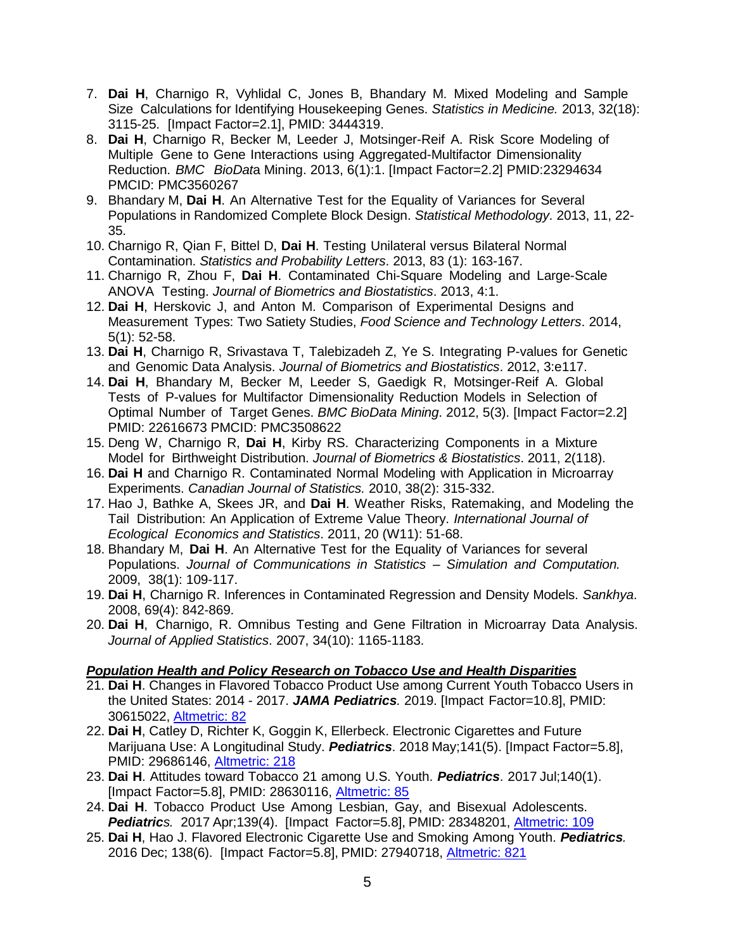- 7. **Dai H**, Charnigo R, Vyhlidal C, Jones B, Bhandary M. Mixed Modeling and Sample Size Calculations for Identifying Housekeeping Genes. *Statistics in Medicine.* 2013, 32(18): 3115-25. [Impact Factor=2.1], PMID: 3444319.
- 8. **Dai H**, Charnigo R, Becker M, Leeder J, Motsinger-Reif A. Risk Score Modeling of Multiple Gene to Gene Interactions using Aggregated-Multifactor Dimensionality Reduction. *BMC BioDat*a Mining. 2013, 6(1):1. [Impact Factor=2.2] PMID:23294634 PMCID: [PMC3560267](https://www.ncbi.nlm.nih.gov/pmc/articles/PMC3560267/)
- 9. Bhandary M, **Dai H**. An Alternative Test for the Equality of Variances for Several Populations in Randomized Complete Block Design. *Statistical Methodology*. 2013, 11, 22- 35.
- 10. Charnigo R, Qian F, Bittel D, **Dai H**. Testing Unilateral versus Bilateral Normal Contamination. *Statistics and Probability Letters*. 2013, 83 (1): 163-167.
- 11. Charnigo R, Zhou F, **Dai H**. Contaminated Chi-Square Modeling and Large-Scale ANOVA Testing. *Journal of Biometrics and Biostatistics*. 2013, 4:1.
- 12. **Dai H**, Herskovic J, and Anton M. Comparison of Experimental Designs and Measurement Types: Two Satiety Studies, *Food Science and Technology Letters*. 2014, 5(1): 52-58.
- 13. **Dai H**, Charnigo R, Srivastava T, Talebizadeh Z, Ye S. Integrating P-values for Genetic and Genomic Data Analysis. *Journal of Biometrics and Biostatistics*. 2012, 3:e117.
- 14. **Dai H**, Bhandary M, Becker M, Leeder S, Gaedigk R, Motsinger-Reif A. Global Tests of P-values for Multifactor Dimensionality Reduction Models in Selection of Optimal Number of Target Genes. *BMC BioData Mining*. 2012, 5(3). [Impact Factor=2.2] PMID: 22616673 PMCID: [PMC3508622](https://www.ncbi.nlm.nih.gov/pmc/articles/PMC3508622/)
- 15. Deng W, Charnigo R, **Dai H**, Kirby RS. Characterizing Components in a Mixture Model for Birthweight Distribution. *Journal of Biometrics & Biostatistics*. 2011, 2(118).
- 16. **Dai H** and Charnigo R. Contaminated Normal Modeling with Application in Microarray Experiments. *Canadian Journal of Statistics.* 2010, 38(2): 315-332.
- 17. Hao J, Bathke A, Skees JR, and **Dai H**. Weather Risks, Ratemaking, and Modeling the Tail Distribution: An Application of Extreme Value Theory. *International Journal of Ecological Economics and Statistics*. 2011, 20 (W11): 51-68.
- 18. Bhandary M, **Dai H**. An Alternative Test for the Equality of Variances for several Populations. *Journal of Communications in Statistics – Simulation and Computation.* 2009, 38(1): 109-117.
- 19. **Dai H**, Charnigo R. Inferences in Contaminated Regression and Density Models. *Sankhya*. 2008, 69(4): 842-869.
- 20. **Dai H**, Charnigo, R. Omnibus Testing and Gene Filtration in Microarray Data Analysis. *Journal of Applied Statistics*. 2007, 34(10): 1165-1183.

# *Population Health and Policy Research on Tobacco Use and Health Disparities*

- 21. **Dai H**. Changes in Flavored Tobacco Product Use among Current Youth Tobacco Users in the United States: 2014 - 2017. *JAMA Pediatrics.* 2019. [Impact Factor=10.8], PMID: 30615022, [Altmetric:](https://jamanetwork.altmetric.com/details/53591363/news) 82
- 22. **Dai H**, Catley D, Richter K, Goggin K, Ellerbeck. Electronic Cigarettes and Future Marijuana Use: A Longitudinal Study. *Pediatrics*. 2018 May;141(5). [Impact Factor=5.8], PMID: 29686146, [Altmetric: 218](https://www.altmetric.com/details/38887591/news)
- 23. **Dai H**. Attitudes toward Tobacco 21 among U.S. Youth. *Pediatrics*. 2017 Jul;140(1). [Impact Factor=5.8], PMID: 28630116, [Altmetric: 85](https://www.altmetric.com/details/21203388)
- 24. **Dai H**. Tobacco Product Use Among Lesbian, Gay, and Bisexual Adolescents. *Pediatrics.* 2017 Apr;139(4). [Impact Factor=5.8], PMID: 28348201, [Altmetric: 109](https://www.altmetric.com/details/18169768/news)
- 25. **Dai H**, Hao J. Flavored Electronic Cigarette Use and Smoking Among Youth. *Pediatrics.* 2016 Dec; 138(6). [Impact Factor=5.8], PMID: 27940718, [Altmetric: 821](https://www.altmetric.com/details/13415143/news)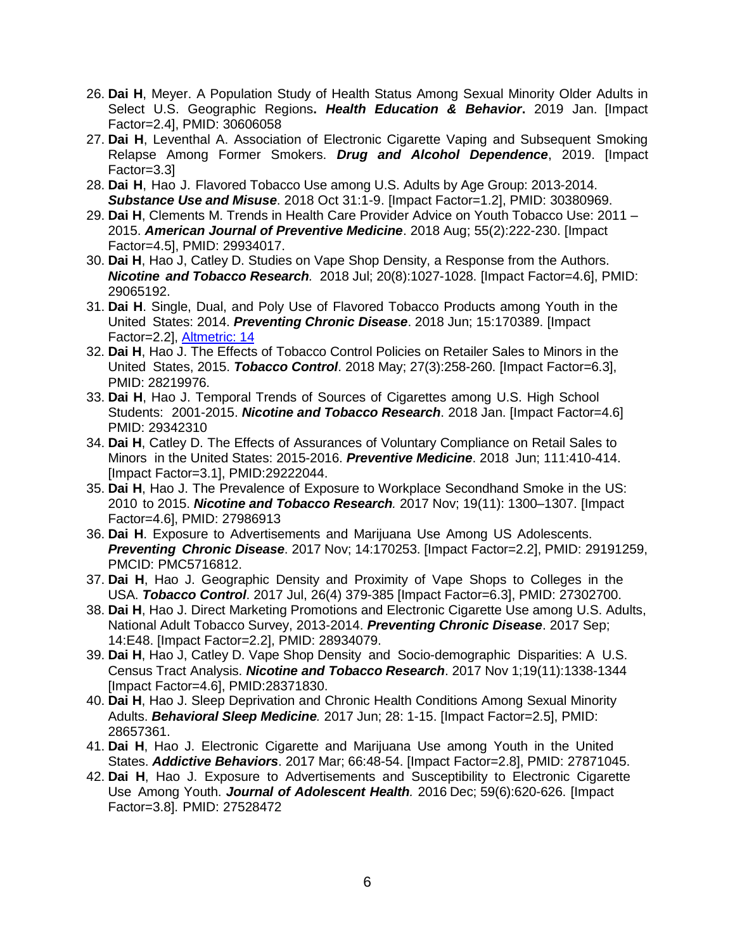- 26. **Dai H**, Meyer. A Population Study of Health Status Among Sexual Minority Older Adults in Select U.S. Geographic Regions**.** *Health Education & Behavior***.** 2019 Jan. [Impact Factor=2.4], PMID: 30606058
- 27. **Dai H**, Leventhal A. Association of Electronic Cigarette Vaping and Subsequent Smoking Relapse Among Former Smokers. *Drug and Alcohol Dependence*, 2019. [Impact Factor=3.3]
- 28. **Dai H**, Hao J. Flavored Tobacco Use among U.S. Adults by Age Group: 2013-2014. *Substance Use and Misuse*. 2018 Oct 31:1-9. [Impact Factor=1.2], PMID: 30380969.
- 29. **Dai H**, Clements M. Trends in Health Care Provider Advice on Youth Tobacco Use: 2011 2015. *American Journal of Preventive Medicine*. 2018 Aug; 55(2):222-230. [Impact Factor=4.5], PMID: 29934017.
- 30. **Dai H**, Hao J, Catley D. Studies on Vape Shop Density, a Response from the Authors. *Nicotine and Tobacco Research.* 2018 Jul; 20(8):1027-1028. [Impact Factor=4.6], PMID: 29065192.
- 31. **Dai H**. Single, Dual, and Poly Use of Flavored Tobacco Products among Youth in the United States: 2014. *Preventing Chronic Disease*. 2018 Jun; 15:170389. [Impact Factor=2.2], [Altmetric: 14](https://cdc.altmetric.com/details/44291732)
- 32. **Dai H**, Hao J. The Effects of Tobacco Control Policies on Retailer Sales to Minors in the United States, 2015. *Tobacco Control*. 2018 May; 27(3):258-260. [Impact Factor=6.3], PMID: 28219976.
- 33. **Dai H**, Hao J. Temporal Trends of Sources of Cigarettes among U.S. High School Students: 2001-2015. *Nicotine and Tobacco Research*. 2018 Jan. [Impact Factor=4.6] PMID: 29342310
- 34. **Dai H**, Catley D. The Effects of Assurances of Voluntary Compliance on Retail Sales to Minors in the United States: 2015-2016. *Preventive Medicine*. 2018 Jun; 111:410-414. [Impact Factor=3.1], PMID:29222044.
- 35. **Dai H**, Hao J. The Prevalence of Exposure to Workplace Secondhand Smoke in the US: 2010 to 2015. *Nicotine and Tobacco Research.* 2017 Nov; 19(11): 1300–1307. [Impact Factor=4.6], PMID: 27986913
- 36. **Dai H**. Exposure to Advertisements and Marijuana Use Among US Adolescents. *Preventing Chronic Disease*. 2017 Nov; 14:170253. [Impact Factor=2.2], PMID: 29191259, PMCID: [PMC5716812.](https://www.ncbi.nlm.nih.gov/pmc/articles/PMC5716812/)
- 37. **Dai H**, Hao J. Geographic Density and Proximity of Vape Shops to Colleges in the USA. *Tobacco Control*. 2017 Jul, 26(4) 379-385 [Impact Factor=6.3], PMID: 27302700.
- 38. **Dai H**, Hao J. Direct Marketing Promotions and Electronic Cigarette Use among U.S. Adults, National Adult Tobacco Survey, 2013-2014. *Preventing Chronic Disease*. 2017 Sep; 14:E48. [Impact Factor=2.2], PMID: 28934079.
- 39. **Dai H**, Hao J, Catley D. Vape Shop Density and Socio-demographic Disparities: A U.S. Census Tract Analysis. *Nicotine and Tobacco Research*. 2017 Nov 1;19(11):1338-1344 [Impact Factor=4.6], PMID:28371830.
- 40. **Dai H**, Hao J. Sleep Deprivation and Chronic Health Conditions Among Sexual Minority Adults. *Behavioral Sleep Medicine.* 2017 Jun; 28: 1-15. [Impact Factor=2.5], PMID: 28657361.
- 41. **Dai H**, Hao J. Electronic Cigarette and Marijuana Use among Youth in the United States. *Addictive Behaviors*. 2017 Mar; 66:48-54. [Impact Factor=2.8], PMID: 27871045.
- 42. **Dai H**, Hao J. Exposure to Advertisements and Susceptibility to Electronic Cigarette Use Among Youth. *Journal of Adolescent Health.* 2016 Dec; 59(6):620-626. [Impact Factor=3.8]. PMID: 27528472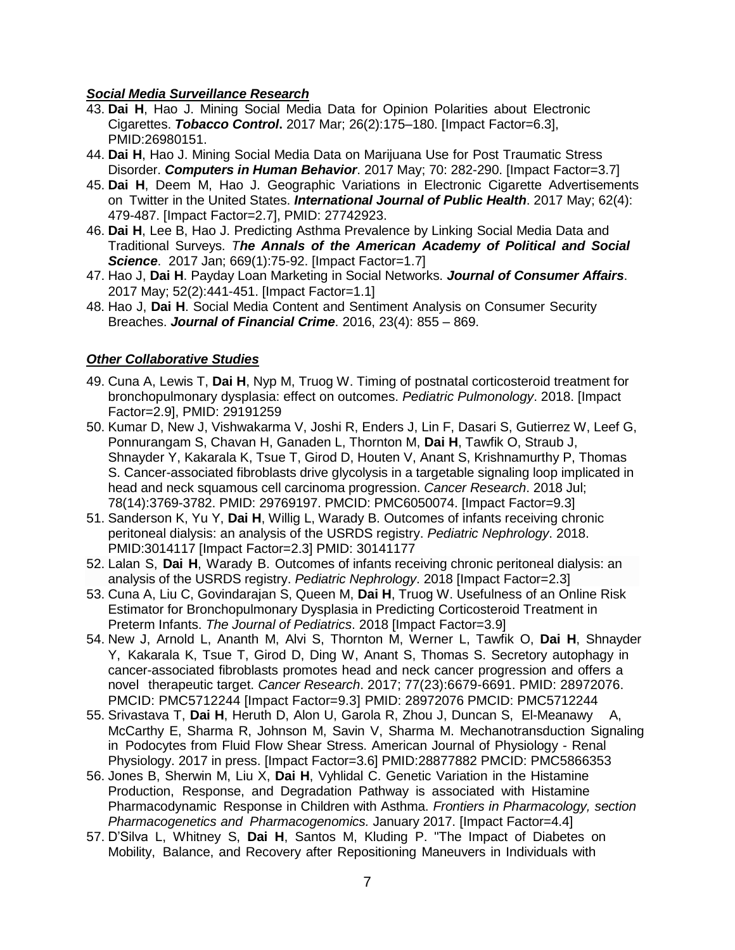## *Social Media Surveillance Research*

- 43. **Dai H**, Hao J. Mining Social Media Data for Opinion Polarities about Electronic Cigarettes. *Tobacco Control***.** 2017 Mar; 26(2):175–180. [Impact Factor=6.3], PMID:26980151.
- 44. **Dai H**, Hao J. Mining Social Media Data on Marijuana Use for Post Traumatic Stress Disorder. *Computers in Human Behavior*. 2017 May; 70: 282-290. [Impact Factor=3.7]
- 45. **Dai H**, Deem M, Hao J. Geographic Variations in Electronic Cigarette Advertisements on Twitter in the United States. *International Journal of Public Health*. 2017 May; 62(4): 479-487. [Impact Factor=2.7], PMID: 27742923.
- 46. **Dai H**, Lee B, Hao J. Predicting Asthma Prevalence by Linking Social Media Data and Traditional Surveys. *The Annals of the American Academy of Political and Social Science*. 2017 Jan; 669(1):75-92. [Impact Factor=1.7]
- 47. Hao J, **Dai H**. Payday Loan Marketing in Social Networks. *Journal of Consumer Affairs*. 2017 May; 52(2):441-451. [Impact Factor=1.1]
- 48. Hao J, **Dai H**. Social Media Content and Sentiment Analysis on Consumer Security Breaches. *Journal of Financial Crime*. 2016, 23(4): 855 – 869.

# *Other Collaborative Studies*

- 49. Cuna A, Lewis T, **Dai H**, Nyp M, Truog W. Timing of postnatal corticosteroid treatment for bronchopulmonary dysplasia: effect on outcomes. *Pediatric Pulmonology*. 2018. [Impact Factor=2.9], PMID: 29191259
- 50. Kumar D, New J, Vishwakarma V, Joshi R, Enders J, Lin F, Dasari S, Gutierrez W, Leef G, Ponnurangam S, Chavan H, Ganaden L, Thornton M, **Dai H**, Tawfik O, Straub J, Shnayder Y, Kakarala K, Tsue T, Girod D, Houten V, Anant S, Krishnamurthy P, Thomas S. Cancer-associated fibroblasts drive glycolysis in a targetable signaling loop implicated in head and neck squamous cell carcinoma progression. *Cancer Research*. 2018 Jul; 78(14):3769-3782. PMID: 29769197. PMCID: PMC6050074. [Impact Factor=9.3]
- 51. Sanderson K, Yu Y, **Dai H**, Willig L, Warady B. [Outcomes of infants receiving chronic](https://link.springer.com/article/10.1007/s00467-018-4056-6)  [peritoneal dialysis: an analysis of the USRDS registry.](https://link.springer.com/article/10.1007/s00467-018-4056-6) *Pediatric Nephrology*. 2018. PMID:3014117 [Impact Factor=2.3] PMID: 30141177
- 52. Lalan S, **Dai H**, Warady B. Outcomes of infants receiving chronic peritoneal dialysis: an analysis of the USRDS registry. *Pediatric Nephrology*. 2018 [Impact Factor=2.3]
- 53. Cuna A, Liu C, Govindarajan S, Queen M, **Dai H**, Truog W. Usefulness of an Online Risk Estimator for Bronchopulmonary Dysplasia in Predicting Corticosteroid Treatment in Preterm Infants. *The Journal of Pediatrics*. 2018 [Impact Factor=3.9]
- 54. New J, Arnold L, Ananth M, Alvi S, Thornton M, Werner L, Tawfik O, **Dai H**, Shnayder Y, Kakarala K, Tsue T, Girod D, Ding W, Anant S, Thomas S. Secretory autophagy in cancer-associated fibroblasts promotes head and neck cancer progression and offers a novel therapeutic target. *Cancer Research*. 2017; 77(23):6679-6691. PMID: 28972076. PMCID: PMC5712244 [Impact Factor=9.3] PMID: 28972076 PMCID: [PMC5712244](https://www.ncbi.nlm.nih.gov/pmc/articles/PMC5712244/)
- 55. Srivastava T, **Dai H**, Heruth D, Alon U, Garola R, Zhou J, Duncan S, El-Meanawy A, McCarthy E, Sharma R, Johnson M, Savin V, Sharma M. Mechanotransduction Signaling in Podocytes from Fluid Flow Shear Stress. American Journal of Physiology - Renal Physiology. 2017 in press. [Impact Factor=3.6] PMID:28877882 PMCID: [PMC5866353](https://www.ncbi.nlm.nih.gov/pmc/articles/PMC5866353/)
- 56. Jones B, Sherwin M, Liu X, **Dai H**, Vyhlidal C. Genetic Variation in the Histamine Production, Response, and Degradation Pathway is associated with Histamine Pharmacodynamic Response in Children with Asthma. *Frontiers in Pharmacology, section Pharmacogenetics and Pharmacogenomics.* January 2017. [Impact Factor=4.4]
- 57. D'Silva L, Whitney S, **Dai H**, Santos M, Kluding P. "The Impact of Diabetes on Mobility, Balance, and Recovery after Repositioning Maneuvers in Individuals with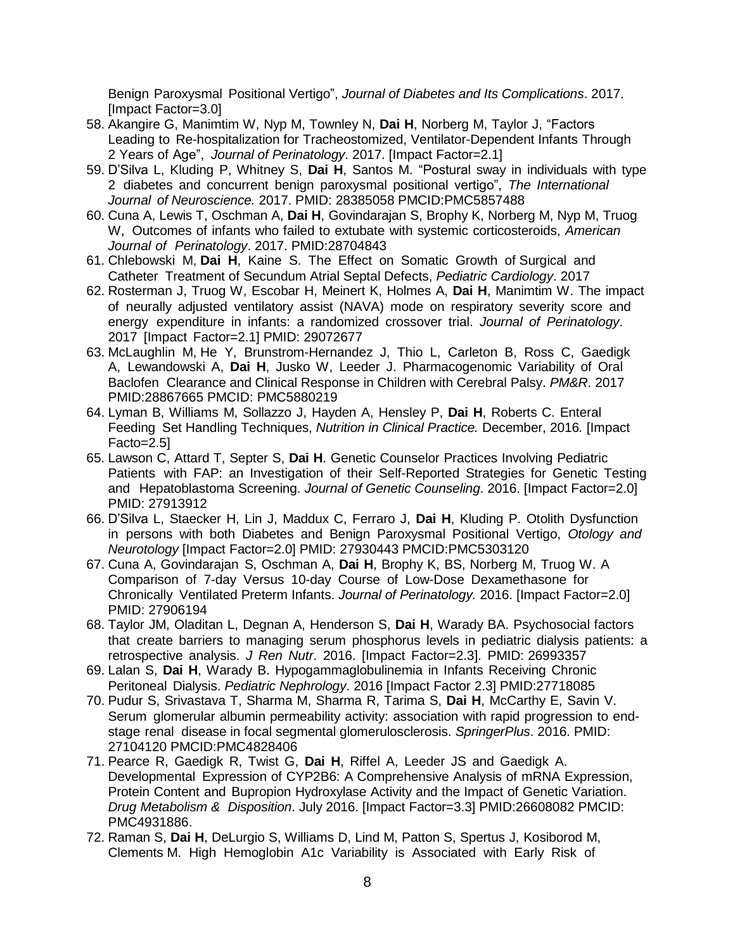Benign Paroxysmal Positional Vertigo", *Journal of Diabetes and Its Complications*. 2017. [Impact Factor=3.0]

- 58. Akangire G, Manimtim W, Nyp M, Townley N, **Dai H**, Norberg M, Taylor J, "Factors Leading to Re-hospitalization for Tracheostomized, Ventilator-Dependent Infants Through 2 Years of Age", *Journal of Perinatology*. 2017. [Impact Factor=2.1]
- 59. D'Silva L, Kluding P, Whitney S, **Dai H**, Santos M. "Postural sway in individuals with type 2 diabetes and concurrent benign paroxysmal positional vertigo", *The International Journal of Neuroscience.* 2017. PMID: 28385058 PMCID[:PMC5857488](https://www.ncbi.nlm.nih.gov/pmc/articles/PMC5857488/)
- 60. Cuna A, Lewis T, Oschman A, **Dai H**, Govindarajan S, Brophy K, Norberg M, Nyp M, Truog W, Outcomes of infants who failed to extubate with systemic corticosteroids, *American Journal of Perinatology*. 2017. PMID:28704843
- 61. Chlebowski M, **Dai H**, Kaine S. The Effect on Somatic Growth of Surgical and Catheter Treatment of Secundum Atrial Septal Defects, *Pediatric Cardiology*. 2017
- 62. Rosterman J, Truog W, Escobar H, Meinert K, Holmes A, **Dai H**, Manimtim W. The impact of neurally adjusted ventilatory assist (NAVA) mode on respiratory severity score and energy expenditure in infants: a randomized crossover trial. *Journal of Perinatology*. 2017 [Impact Factor=2.1] PMID: 29072677
- 63. McLaughlin M, He Y, Brunstrom-Hernandez J, Thio L, Carleton B, Ross C, Gaedigk A, Lewandowski A, **Dai H**, Jusko W, Leeder J. Pharmacogenomic Variability of Oral Baclofen Clearance and Clinical Response in Children with Cerebral Palsy. *PM&R*. 2017 PMID:28867665 PMCID: [PMC5880219](https://www.ncbi.nlm.nih.gov/pmc/articles/PMC5880219/)
- 64. Lyman B, Williams M, Sollazzo J, Hayden A, Hensley P, **Dai H**, Roberts C. Enteral Feeding Set Handling Techniques, *Nutrition in Clinical Practice.* December, 2016*.* [Impact Facto=2.5]
- 65. Lawson C, Attard T, Septer S, **Dai H**. Genetic Counselor Practices Involving Pediatric Patients with FAP: an Investigation of their Self-Reported Strategies for Genetic Testing and Hepatoblastoma Screening. *Journal of Genetic Counseling*. 2016. [Impact Factor=2.0] PMID: 27913912
- 66. D'Silva L, Staecker H, Lin J, Maddux C, Ferraro J, **Dai H**, Kluding P. Otolith Dysfunction in persons with both Diabetes and Benign Paroxysmal Positional Vertigo, *Otology and Neurotology* [Impact Factor=2.0] PMID: 27930443 PMCID[:PMC5303120](https://www.ncbi.nlm.nih.gov/pmc/articles/PMC5303120/)
- 67. Cuna A, Govindarajan S, Oschman A, **Dai H**, Brophy K, BS, Norberg M, Truog W. A Comparison of 7-day Versus 10-day Course of Low-Dose Dexamethasone for Chronically Ventilated Preterm Infants. *Journal of Perinatology.* 2016. [Impact Factor=2.0] PMID: 27906194
- 68. Taylor JM, Oladitan L, Degnan A, Henderson S, **Dai H**, Warady BA. Psychosocial factors that create barriers to managing serum phosphorus levels in pediatric dialysis patients: a retrospective analysis. *J Ren Nutr*. 2016. [Impact Factor=2.3]. PMID: 26993357
- 69. Lalan S, **Dai H**, Warady B. Hypogammaglobulinemia in Infants Receiving Chronic Peritoneal Dialysis. *Pediatric Nephrology*. 2016 [Impact Factor 2.3] PMID:27718085
- 70. Pudur S, Srivastava T, Sharma M, Sharma R, Tarima S, **Dai H**, McCarthy E, Savin V. Serum glomerular albumin permeability activity: association with rapid progression to endstage renal disease in focal segmental glomerulosclerosis. *SpringerPlus*. 2016. PMID: 27104120 PMCID[:PMC4828406](https://www.ncbi.nlm.nih.gov/pmc/articles/PMC4828406/)
- 71. Pearce R, Gaedigk R, Twist G, **Dai H**, Riffel A, Leeder JS and Gaedigk A. Developmental Expression of CYP2B6: A Comprehensive Analysis of mRNA Expression, Protein Content and Bupropion Hydroxylase Activity and the Impact of Genetic Variation. *Drug Metabolism & Disposition*. July 2016. [Impact Factor=3.3] PMID:26608082 PMCID: [PMC4931886.](https://www.ncbi.nlm.nih.gov/pmc/articles/PMC4931886/)
- 72. Raman S, **Dai H**, DeLurgio S, Williams D, Lind M, Patton S, Spertus J, Kosiborod M, Clements M. High Hemoglobin A1c Variability is Associated with Early Risk of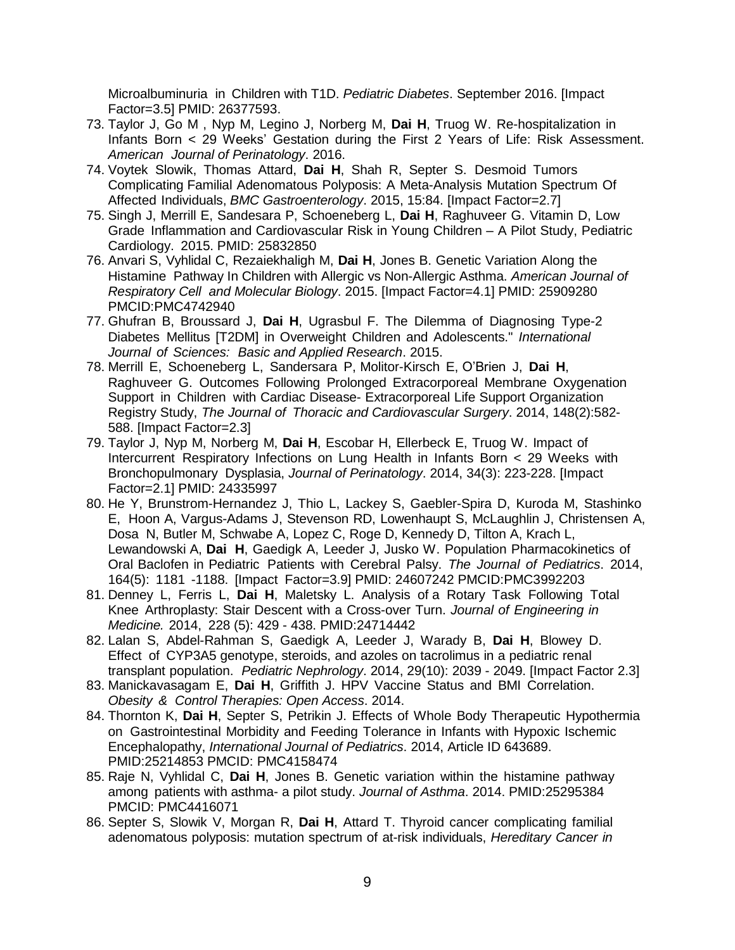Microalbuminuria in Children with T1D. *Pediatric Diabetes*. September 2016. [Impact Factor=3.5] PMID: 26377593.

- 73. Taylor J, Go M , Nyp M, Legino J, Norberg M, **Dai H**, Truog W. Re-hospitalization in Infants Born < 29 Weeks' Gestation during the First 2 Years of Life: Risk Assessment. *American Journal of Perinatology*. 2016.
- 74. Voytek Slowik, Thomas Attard, **Dai H**, Shah R, Septer S. Desmoid Tumors Complicating Familial Adenomatous Polyposis: A Meta-Analysis Mutation Spectrum Of Affected Individuals, *BMC Gastroenterology*. 2015, 15:84. [Impact Factor=2.7]
- 75. Singh J, Merrill E, Sandesara P, Schoeneberg L, **Dai H**, Raghuveer G. Vitamin D, Low Grade Inflammation and Cardiovascular Risk in Young Children – A Pilot Study, Pediatric Cardiology. 2015. PMID: 25832850
- 76. Anvari S, Vyhlidal C, Rezaiekhaligh M, **Dai H**, Jones B. Genetic Variation Along the Histamine Pathway In Children with Allergic vs Non-Allergic Asthma. *American Journal of Respiratory Cell and Molecular Biology*. 2015. [Impact Factor=4.1] PMID: 25909280 PMCID[:PMC4742940](https://www.ncbi.nlm.nih.gov/pmc/articles/PMC4742940/)
- 77. Ghufran B, Broussard J, **Dai H**, Ugrasbul F. The Dilemma of Diagnosing Type-2 Diabetes Mellitus [T2DM] in Overweight Children and Adolescents." *International Journal of Sciences: Basic and Applied Research*. 2015.
- 78. Merrill E, Schoeneberg L, Sandersara P, Molitor-Kirsch E, O'Brien J, **Dai H**, Raghuveer G. Outcomes Following Prolonged Extracorporeal Membrane Oxygenation Support in Children with Cardiac Disease- Extracorporeal Life Support Organization Registry Study, *The Journal of Thoracic and Cardiovascular Surgery*. 2014, 148(2):582- 588. [Impact Factor=2.3]
- 79. Taylor J, Nyp M, Norberg M, **Dai H**, Escobar H, Ellerbeck E, Truog W. Impact of Intercurrent Respiratory Infections on Lung Health in Infants Born < 29 Weeks with Bronchopulmonary Dysplasia, *Journal of Perinatology*. 2014, 34(3): 223-228. [Impact Factor=2.1] PMID: 24335997
- 80. He Y, Brunstrom-Hernandez J, Thio L, Lackey S, Gaebler-Spira D, Kuroda M, Stashinko E, Hoon A, Vargus-Adams J, Stevenson RD, Lowenhaupt S, McLaughlin J, Christensen A, Dosa N, Butler M, Schwabe A, Lopez C, Roge D, Kennedy D, Tilton A, Krach L, Lewandowski A, **Dai H**, Gaedigk A, Leeder J, Jusko W. Population Pharmacokinetics of Oral Baclofen in Pediatric Patients with Cerebral Palsy. *The Journal of Pediatrics*. 2014, 164(5): 1181 -1188. [Impact Factor=3.9] PMID: 24607242 PMCID[:PMC3992203](https://www.ncbi.nlm.nih.gov/pmc/articles/PMC3992203/)
- 81. Denney L, Ferris L, **Dai H**, Maletsky L. Analysis of a Rotary Task Following Total Knee Arthroplasty: Stair Descent with a Cross-over Turn. *Journal of Engineering in Medicine.* 2014, 228 (5): 429 - 438. PMID:24714442
- 82. Lalan S, Abdel-Rahman S, Gaedigk A, Leeder J, Warady B, **Dai H**, Blowey D. Effect of CYP3A5 genotype, steroids, and azoles on tacrolimus in a pediatric renal transplant population. *Pediatric Nephrology*. 2014, 29(10): 2039 - 2049. [Impact Factor 2.3]
- 83. Manickavasagam E, **Dai H**, Griffith J. HPV Vaccine Status and BMI Correlation. *Obesity & Control Therapies: Open Access*. 2014.
- 84. Thornton K, **Dai H**, Septer S, Petrikin J. Effects of Whole Body Therapeutic Hypothermia on Gastrointestinal Morbidity and Feeding Tolerance in Infants with Hypoxic Ischemic Encephalopathy, *International Journal of Pediatrics*. 2014, Article ID 643689. PMID:25214853 PMCID: [PMC4158474](https://www.ncbi.nlm.nih.gov/pmc/articles/PMC4158474/)
- 85. Raje N, Vyhlidal C, **Dai H**, Jones B. Genetic variation within the histamine pathway among patients with asthma- a pilot study. *Journal of Asthma*. 2014. PMID:25295384 PMCID: [PMC4416071](https://www.ncbi.nlm.nih.gov/pmc/articles/PMC4416071/)
- 86. Septer S, Slowik V, Morgan R, **Dai H**, Attard T. Thyroid cancer complicating familial adenomatous polyposis: mutation spectrum of at-risk individuals, *Hereditary Cancer in*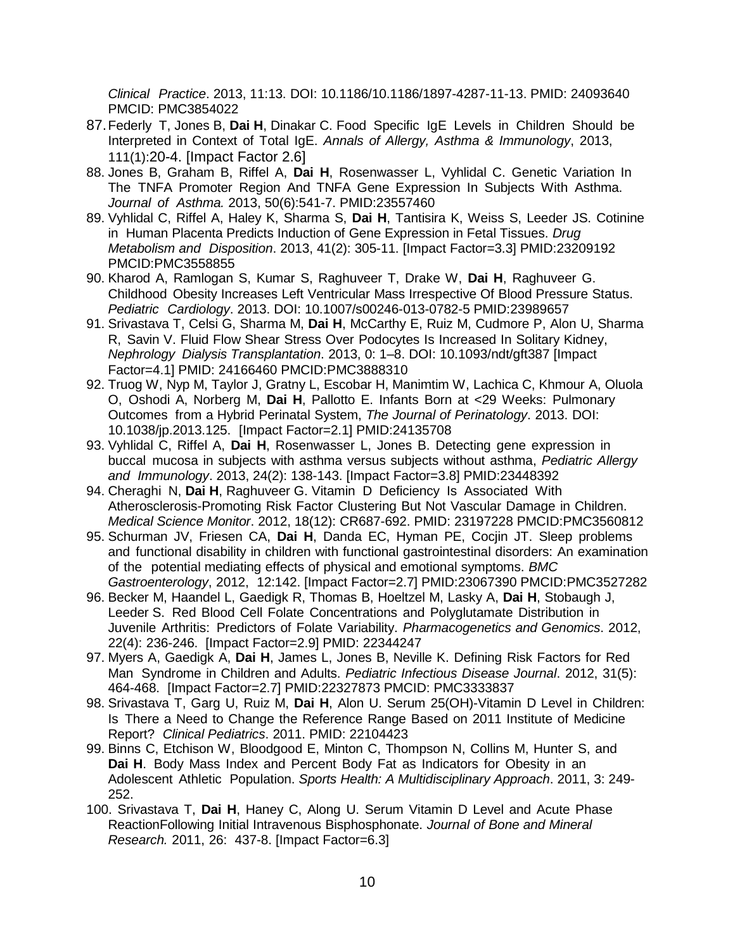*Clinical Practice*. 2013, 11:13. DOI: 10.1186/10.1186/1897-4287-11-13. PMID: 24093640 PMCID: [PMC3854022](https://www.ncbi.nlm.nih.gov/pmc/articles/PMC3854022/)

- 87.Federly T, Jones B, **Dai H**, Dinakar C. Food Specific IgE Levels in Children Should be Interpreted in Context of Total IgE. *Annals of Allergy, Asthma & Immunology*, 2013, 111(1):20-4. [Impact Factor 2.6]
- 88. Jones B, Graham B, Riffel A, **Dai H**, Rosenwasser L, Vyhlidal C. Genetic Variation In The TNFA Promoter Region And TNFA Gene Expression In Subjects With Asthma. *Journal of Asthma.* 2013, 50(6):541-7. PMID:23557460
- 89. Vyhlidal C, Riffel A, Haley K, Sharma S, **Dai H**, Tantisira K, Weiss S, Leeder JS. Cotinine in Human Placenta Predicts Induction of Gene Expression in Fetal Tissues. *Drug Metabolism and Disposition*. 2013, 41(2): 305-11. [Impact Factor=3.3] PMID:23209192 PMCID[:PMC3558855](https://www.ncbi.nlm.nih.gov/pmc/articles/PMC3558855/)
- 90. Kharod A, Ramlogan S, Kumar S, Raghuveer T, Drake W, **Dai H**, Raghuveer G. Childhood Obesity Increases Left Ventricular Mass Irrespective Of Blood Pressure Status. *Pediatric Cardiology*. 2013. DOI: 10.1007/s00246-013-0782-5 PMID:23989657
- 91. Srivastava T, Celsi G, Sharma M, **Dai H**, McCarthy E, Ruiz M, Cudmore P, Alon U, Sharma R, Savin V. Fluid Flow Shear Stress Over Podocytes Is Increased In Solitary Kidney, *Nephrology Dialysis Transplantation*. 2013, 0: 1–8. DOI: 10.1093/ndt/gft387 [Impact Factor=4.1] PMID: 24166460 PMCID[:PMC3888310](https://www.ncbi.nlm.nih.gov/pmc/articles/PMC3888310/)
- 92. Truog W, Nyp M, Taylor J, Gratny L, Escobar H, Manimtim W, Lachica C, Khmour A, Oluola O, Oshodi A, Norberg M, **Dai H**, Pallotto E. Infants Born at <29 Weeks: Pulmonary Outcomes from a Hybrid Perinatal System, *The Journal of Perinatology*. 2013. DOI: 10.1038/jp.2013.125. [Impact Factor=2.1] PMID:24135708
- 93. Vyhlidal C, Riffel A, **Dai H**, Rosenwasser L, Jones B. Detecting gene expression in buccal mucosa in subjects with asthma versus subjects without asthma, *Pediatric Allergy and Immunology*. 2013, 24(2): 138-143. [Impact Factor=3.8] PMID:23448392
- 94. Cheraghi N, **Dai H**, Raghuveer G. Vitamin D Deficiency Is Associated With Atherosclerosis-Promoting Risk Factor Clustering But Not Vascular Damage in Children. *Medical Science Monitor*. 2012, 18(12): CR687-692. PMID: 23197228 PMCID[:PMC3560812](https://www.ncbi.nlm.nih.gov/pmc/articles/PMC3560812/)
- 95. Schurman JV, Friesen CA, **Dai H**, Danda EC, Hyman PE, Cocjin JT. Sleep problems and functional disability in children with functional gastrointestinal disorders: An examination of the potential mediating effects of physical and emotional symptoms. *BMC Gastroenterology*, 2012, 12:142. [Impact Factor=2.7] PMID:23067390 PMCID[:PMC3527282](https://www.ncbi.nlm.nih.gov/pmc/articles/PMC3527282/)
- 96. Becker M, Haandel L, Gaedigk R, Thomas B, Hoeltzel M, Lasky A, **Dai H**, Stobaugh J, Leeder S. Red Blood Cell Folate Concentrations and Polyglutamate Distribution in Juvenile Arthritis: Predictors of Folate Variability. *Pharmacogenetics and Genomics*. 2012, 22(4): 236-246. [Impact Factor=2.9] PMID: 22344247
- 97. Myers A, Gaedigk A, **Dai H**, James L, Jones B, Neville K. Defining Risk Factors for Red Man Syndrome in Children and Adults. *Pediatric Infectious Disease Journal*. 2012, 31(5): 464-468. [Impact Factor=2.7] PMID:22327873 PMCID: [PMC3333837](https://www.ncbi.nlm.nih.gov/pmc/articles/PMC3333837/)
- 98. Srivastava T, Garg U, Ruiz M, **Dai H**, Alon U. Serum 25(OH)-Vitamin D Level in Children: Is There a Need to Change the Reference Range Based on 2011 Institute of Medicine Report? *Clinical Pediatrics*. 2011. PMID: 22104423
- 99. Binns C, Etchison W, Bloodgood E, Minton C, Thompson N, Collins M, Hunter S, and **Dai H**. Body Mass Index and Percent Body Fat as Indicators for Obesity in an Adolescent Athletic Population. *Sports Health: A Multidisciplinary Approach*. 2011, 3: 249- 252.
- 100. Srivastava T, **Dai H**, Haney C, Along U. Serum Vitamin D Level and Acute Phase ReactionFollowing Initial Intravenous Bisphosphonate. *Journal of Bone and Mineral Research.* 2011, 26: 437-8. [Impact Factor=6.3]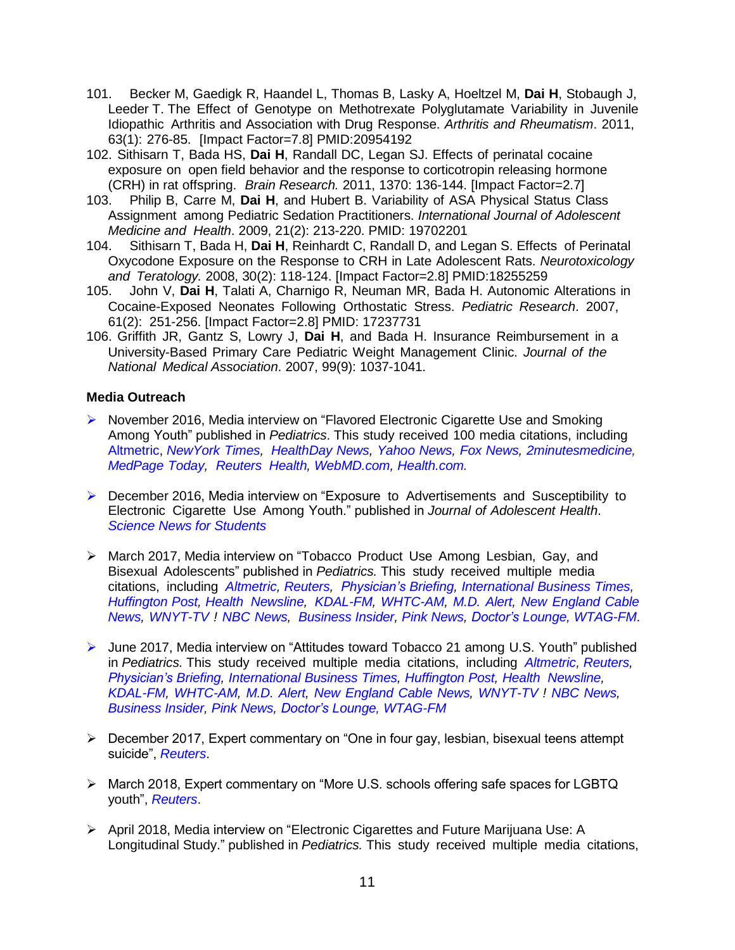- 101. Becker M, Gaedigk R, Haandel L, Thomas B, Lasky A, Hoeltzel M, **Dai H**, Stobaugh J, Leeder T. The Effect of Genotype on Methotrexate Polyglutamate Variability in Juvenile Idiopathic Arthritis and Association with Drug Response. *Arthritis and Rheumatism*. 2011, 63(1): 276-85. [Impact Factor=7.8] PMID:20954192
- 102. Sithisarn T, Bada HS, **Dai H**, Randall DC, Legan SJ. Effects of perinatal cocaine exposure on open field behavior and the response to corticotropin releasing hormone (CRH) in rat offspring. *Brain Research.* 2011, 1370: 136-144. [Impact Factor=2.7]
- 103. Philip B, Carre M, **Dai H**, and Hubert B. Variability of ASA Physical Status Class Assignment among Pediatric Sedation Practitioners. *International Journal of Adolescent Medicine and Health*. 2009, 21(2): 213-220. PMID: 19702201
- 104. Sithisarn T, Bada H, **Dai H**, Reinhardt C, Randall D, and Legan S. Effects of Perinatal Oxycodone Exposure on the Response to CRH in Late Adolescent Rats. *Neurotoxicology and Teratology.* 2008, 30(2): 118-124. [Impact Factor=2.8] PMID:18255259
- 105. John V, **Dai H**, Talati A, Charnigo R, Neuman MR, Bada H. Autonomic Alterations in Cocaine-Exposed Neonates Following Orthostatic Stress. *Pediatric Research*. 2007, 61(2): 251-256. [Impact Factor=2.8] PMID: 17237731
- 106. Griffith JR, Gantz S, Lowry J, **Dai H**, and Bada H. Insurance Reimbursement in a University-Based Primary Care Pediatric Weight Management Clinic. *Journal of the National Medical Association*. 2007, 99(9): 1037-1041.

#### **Media Outreach**

- ▶ November 2016, Media interview on "Flavored Electronic Cigarette Use and Smoking Among Youth" published in *Pediatrics*. This study received 100 media citations, including [Altmetric,](https://www.altmetric.com/details/13415143/news) *[NewYork](https://www.nytimes.com/2016/12/08/health/e-cigarettes-united-states.html?_r=0) Times, [HealthDay](https://consumer.healthday.com/cancer-information-5/electronic-cigarettes-970/flavored-e-cigarettes-may-lure-teens-to-smoking-study-716576.html) News, [Yahoo](https://www.yahoo.com/news/kids-flavored-e-cigs-more-likely-want-try-163852662.html?soc_src=mail&soc_trk=ma) News, Fox [News,](http://www.foxnews.com/health/2016/11/07/kids-who-use-flavored-e-cigs-more-likely-to-want-to-try-cigarettes.html) [2minutesmedicine,](http://www.2minutemedicine.com/flavored-e-cigarette-use-associated-with-higher-smoking-risks-in-youth/) [MedPage](http://www.medpagetoday.com/pulmonology/smoking/61270) Today, [Reuters](http://www.reuters.com/article/us-health-ecigarettes-kids-idUSKBN13223G) [Health,](http://www.reuters.com/article/us-health-ecigarettes-kids-idUSKBN13223G) [WebMD.com,](http://www.webmd.com/smoking-cessation/news/20161107/flavored-e-cigarettes-may-entice-teens-to-smoke-study) [Health.com.](http://www.health.com/news/flavored-e-cigarettes-may-entice-teens-smoke-study)*
- ▶ December 2016, Media interview on "Exposure to Advertisements and Susceptibility to Electronic Cigarette Use Among Youth." published in *Journal of Adolescent Health*. *Science News for [Students](https://www.sciencenewsforstudents.org/article/high-school-vapers-often-become-heavy-smokers)*
- March 2017, Media interview on "Tobacco Product Use Among Lesbian, Gay, and Bisexual Adolescents" published in *Pediatrics.* This study received multiple media citations, including *[Altmetric,](https://www.altmetric.com/details/18169768) [Reuters,](https://urldefense.proofpoint.com/v2/url?u=http-3A__www.reuters.com_article_health-2Dadolescents-2Dlgb-2Dtobacco-2DidUSL2N1H40N0&d=DwMGaQ&c=Zl2T6vaIOSZ-iGixmidu-Jjpn1CKtCl7U5wJPI4UCTc&r=7NpryHmPZklUydsJr3mz_13GdvLijJBDGwX6T7U1xBg&m=H6ydrZZuPtQH9vdYfsLD1g05wvUNKE-Cf2H6oH3YEbk&s=Vrp8VzcgYoc-0XPDJjSWUDFQln4_r3CqZwz5NZ_v1c8&e) [Physician's](http://www.physiciansbriefing.com/Article.asp?AID=721001) Briefing, [International](https://urldefense.proofpoint.com/v2/url?u=http-3A__www.ibtimes.com_lgbtq-2Dcommunity-2Dmore-2Dvulnerable-2Dsmoking-2Dnew-2Dstudy-2Dshows-2Dpossible-2Dlinks-2D2517135&d=DwMGaQ&c=Zl2T6vaIOSZ-iGixmidu-Jjpn1CKtCl7U5wJPI4UCTc&r=7NpryHmPZklUydsJr3mz_13GdvLijJBDGwX6T7U1xBg&m=e8jHhNJI9x0jKo_sF9EeMhGSLrRnMRnU63SftV4OYcc&s=LvZuNJ8JPVPKvUcr145W8XmTT13PfRZMQAgxcSr1Muo&e) Business Times, [Huffington](http://www.huffingtonpost.com/entry/anal-cancer-screening-down-under-prooves-satisfactory_us_58e79758e4b0acd784ca5748?section=us_queer-voicess) Post, Health [Newsline,](https://urldefense.proofpoint.com/v2/url?u=http-3A__www.healthnewsline.net_lesbians-2Dgays-2Dbisexual-2Dsmoke_2536407_&d=DwMGaQ&c=Zl2T6vaIOSZ-iGixmidu-Jjpn1CKtCl7U5wJPI4UCTc&r=7NpryHmPZklUydsJr3mz_13GdvLijJBDGwX6T7U1xBg&m=e8jHhNJI9x0jKo_sF9EeMhGSLrRnMRnU63SftV4OYcc&s=_1o9CKaZu1pa1PJzZuJRxLbyYohrSCi4AYc6exIjgl4&e) [KDAL-FM,](https://urldefense.proofpoint.com/v2/url?u=http-3A__kdal610.com_news_articles_2017_mar_27_lesbian-2Dand-2Dbisexual-2Dgirls-2Dmore-2Dlikely-2Dthan-2Dother-2Dteens-2Dto-2Dsmoke_&d=DwMGaQ&c=Zl2T6vaIOSZ-iGixmidu-Jjpn1CKtCl7U5wJPI4UCTc&r=7NpryHmPZklUydsJr3mz_13GdvLijJBDGwX6T7U1xBg&m=H6ydrZZuPtQH9vdYfsLD1g05wvUNKE-Cf2H6oH3YEbk&s=m4DAGZ533EPA2PTr09rYHDQ2Hkrg1gfxXYN7-JZGdVw&e) [WHTC-AM,](https://urldefense.proofpoint.com/v2/url?u=http-3A__whtc.com_news_articles_2017_mar_27_lesbian-2Dand-2Dbisexual-2Dgirls-2Dmore-2Dlikely-2Dthan-2Dother-2Dteens-2Dto-2Dsmoke_&d=DwMGaQ&c=Zl2T6vaIOSZ-iGixmidu-Jjpn1CKtCl7U5wJPI4UCTc&r=7NpryHmPZklUydsJr3mz_13GdvLijJBDGwX6T7U1xBg&m=H6ydrZZuPtQH9vdYfsLD1g05wvUNKE-Cf2H6oH3YEbk&s=hpMEQVdSfKLgTfdtGGgwKsd5lRZRjxd3zowOtemtJRk&e) M.D. [Alert,](https://urldefense.proofpoint.com/v2/url?u=http-3A__www.mdalert.com_news_article_lesbian-2Dand-2Dbisexual-2Dgirls-2Dmore-2Dlikely-2Dthan-2Dother-2Dteens-2Dto-2Dsmoke&d=DwMGaQ&c=Zl2T6vaIOSZ-iGixmidu-Jjpn1CKtCl7U5wJPI4UCTc&r=7NpryHmPZklUydsJr3mz_13GdvLijJBDGwX6T7U1xBg&m=H6ydrZZuPtQH9vdYfsLD1g05wvUNKE-Cf2H6oH3YEbk&s=k2naiubocB-j1RfHs-Zf4EQknctcACRJhDXeMg8VOo4&e) New [England](https://urldefense.proofpoint.com/v2/url?u=http-3A__mms.tveyes.com_PlaybackPortal.aspx-3FSavedEditID-3Ddd7c9410-2De95a-2D4290-2D92eb-2De71557c9d7c5&d=DwMGaQ&c=Zl2T6vaIOSZ-iGixmidu-Jjpn1CKtCl7U5wJPI4UCTc&r=7NpryHmPZklUydsJr3mz_13GdvLijJBDGwX6T7U1xBg&m=H6ydrZZuPtQH9vdYfsLD1g05wvUNKE-Cf2H6oH3YEbk&s=Jha-05kPIHQ7Jj-tUjF1hTrY0uWYeotlEBwAatILGQ0&e) Cable [News,](https://urldefense.proofpoint.com/v2/url?u=http-3A__mms.tveyes.com_PlaybackPortal.aspx-3FSavedEditID-3Ddd7c9410-2De95a-2D4290-2D92eb-2De71557c9d7c5&d=DwMGaQ&c=Zl2T6vaIOSZ-iGixmidu-Jjpn1CKtCl7U5wJPI4UCTc&r=7NpryHmPZklUydsJr3mz_13GdvLijJBDGwX6T7U1xBg&m=H6ydrZZuPtQH9vdYfsLD1g05wvUNKE-Cf2H6oH3YEbk&s=Jha-05kPIHQ7Jj-tUjF1hTrY0uWYeotlEBwAatILGQ0&e) [WNYT-TV](https://urldefense.proofpoint.com/v2/url?u=http-3A__mms.tveyes.com_PlaybackPortal.aspx-3FSavedEditID-3D20d2ec00-2D9366-2D45ef-2D8e73-2D83e33a72527d&d=DwMGaQ&c=Zl2T6vaIOSZ-iGixmidu-Jjpn1CKtCl7U5wJPI4UCTc&r=7NpryHmPZklUydsJr3mz_13GdvLijJBDGwX6T7U1xBg&m=H6ydrZZuPtQH9vdYfsLD1g05wvUNKE-Cf2H6oH3YEbk&s=mH3_6CrePO4dtBrtHZCg--i5DTjXkZWq1bcpknnsBLQ&e) ! NBC [News,](https://urldefense.proofpoint.com/v2/url?u=http-3A__www.nbcnews.com_feature_nbc-2Dout_lesbian-2Dbisexual-2Dgirls-2Dmore-2Dlikely-2Dother-2Dteens-2Dsmoke-2Dstudy-2Dfinds-2Dn739436&d=DwMGaQ&c=Zl2T6vaIOSZ-iGixmidu-Jjpn1CKtCl7U5wJPI4UCTc&r=vmhpSwaauH9dDIUnqJYVMY-qsDJhi27Hiim0k2KJ_ZA&m=fcETrCrGAAIJayDd_hjDnCmbOOzEdtlu0he6lAhW5OI&s=8IMggkURDIXQ00ZfIF9Vu_5YoseFFCjdHkKsuG2urUA&e) [Business](https://urldefense.proofpoint.com/v2/url?u=http-3A__www.businessinsider.com_r-2Dlesbian-2Dand-2Dbisexual-2Dgirls-2Dmore-2Dlikely-2Dthan-2Dother-2Dteens-2Dto-2Dsmoke-2D2017-2D3&d=DwMGaQ&c=Zl2T6vaIOSZ-iGixmidu-Jjpn1CKtCl7U5wJPI4UCTc&r=vmhpSwaauH9dDIUnqJYVMY-qsDJhi27Hiim0k2KJ_ZA&m=fcETrCrGAAIJayDd_hjDnCmbOOzEdtlu0he6lAhW5OI&s=jWMz4xxYikoi7X_ph3A2luPtFNd8oWaPMPD79exIDfU&e) Insider, Pink [News,](https://urldefense.proofpoint.com/v2/url?u=http-3A__www.pinknews.co.uk_2017_03_28_lesbians-2Dand-2Dbisexual-2Dwomen-2Dmore-2Dlikely-2Dto-2Dsmoke-2Dthan-2Dstraight-2Dpeople-2Dstudy-2Dfinds_&d=DwMGaQ&c=Zl2T6vaIOSZ-iGixmidu-Jjpn1CKtCl7U5wJPI4UCTc&r=vmhpSwaauH9dDIUnqJYVMY-qsDJhi27Hiim0k2KJ_ZA&m=fcETrCrGAAIJayDd_hjDnCmbOOzEdtlu0he6lAhW5OI&s=wj4-1LA9ap70w-NC9t3xD0KNelfHU6xkzWhgq5gEQ3Y&e) [Doctor's](https://urldefense.proofpoint.com/v2/url?u=https-3A__www.doctorslounge.com_index.php_news_pb_70977&d=DwMGaQ&c=Zl2T6vaIOSZ-iGixmidu-Jjpn1CKtCl7U5wJPI4UCTc&r=vmhpSwaauH9dDIUnqJYVMY-qsDJhi27Hiim0k2KJ_ZA&m=fcETrCrGAAIJayDd_hjDnCmbOOzEdtlu0he6lAhW5OI&s=RBkIlVZrafggIPsQfDUBktULCIn3KMi0VoToXmunQ10&e) Lounge, [WTAG-FM](https://urldefense.proofpoint.com/v2/url?u=http-3A__mms.tveyes.com_PlaybackPortal.aspx-3FSavedEditID-3D865115de-2D2c3a-2D4ce8-2Dab1b-2D9a9f98133022&d=DwMGaQ&c=Zl2T6vaIOSZ-iGixmidu-Jjpn1CKtCl7U5wJPI4UCTc&r=vmhpSwaauH9dDIUnqJYVMY-qsDJhi27Hiim0k2KJ_ZA&m=fcETrCrGAAIJayDd_hjDnCmbOOzEdtlu0he6lAhW5OI&s=BhnKTqo0lRxlrN2fPbVyrRgxdyH71TY-x3ulY9uhhTg&e)*.
- June 2017, Media interview on "Attitudes toward Tobacco 21 among U.S. Youth" published in *Pediatrics.* This study received multiple media citations, including *[Altmetric,](https://www.altmetric.com/details/18169768) [Reuters,](https://urldefense.proofpoint.com/v2/url?u=http-3A__www.reuters.com_article_health-2Dadolescents-2Dlgb-2Dtobacco-2DidUSL2N1H40N0&d=DwMGaQ&c=Zl2T6vaIOSZ-iGixmidu-Jjpn1CKtCl7U5wJPI4UCTc&r=7NpryHmPZklUydsJr3mz_13GdvLijJBDGwX6T7U1xBg&m=H6ydrZZuPtQH9vdYfsLD1g05wvUNKE-Cf2H6oH3YEbk&s=Vrp8VzcgYoc-0XPDJjSWUDFQln4_r3CqZwz5NZ_v1c8&e) [Physician's](http://www.physiciansbriefing.com/Article.asp?AID=721001) Briefing, [International](https://urldefense.proofpoint.com/v2/url?u=http-3A__www.ibtimes.com_lgbtq-2Dcommunity-2Dmore-2Dvulnerable-2Dsmoking-2Dnew-2Dstudy-2Dshows-2Dpossible-2Dlinks-2D2517135&d=DwMGaQ&c=Zl2T6vaIOSZ-iGixmidu-Jjpn1CKtCl7U5wJPI4UCTc&r=7NpryHmPZklUydsJr3mz_13GdvLijJBDGwX6T7U1xBg&m=e8jHhNJI9x0jKo_sF9EeMhGSLrRnMRnU63SftV4OYcc&s=LvZuNJ8JPVPKvUcr145W8XmTT13PfRZMQAgxcSr1Muo&e) Business Times, [Huffington](http://www.huffingtonpost.com/entry/anal-cancer-screening-down-under-prooves-satisfactory_us_58e79758e4b0acd784ca5748?section=us_queer-voicess) Post, Health [Newsline,](https://urldefense.proofpoint.com/v2/url?u=http-3A__www.healthnewsline.net_lesbians-2Dgays-2Dbisexual-2Dsmoke_2536407_&d=DwMGaQ&c=Zl2T6vaIOSZ-iGixmidu-Jjpn1CKtCl7U5wJPI4UCTc&r=7NpryHmPZklUydsJr3mz_13GdvLijJBDGwX6T7U1xBg&m=e8jHhNJI9x0jKo_sF9EeMhGSLrRnMRnU63SftV4OYcc&s=_1o9CKaZu1pa1PJzZuJRxLbyYohrSCi4AYc6exIjgl4&e) [KDAL-FM,](https://urldefense.proofpoint.com/v2/url?u=http-3A__kdal610.com_news_articles_2017_mar_27_lesbian-2Dand-2Dbisexual-2Dgirls-2Dmore-2Dlikely-2Dthan-2Dother-2Dteens-2Dto-2Dsmoke_&d=DwMGaQ&c=Zl2T6vaIOSZ-iGixmidu-Jjpn1CKtCl7U5wJPI4UCTc&r=7NpryHmPZklUydsJr3mz_13GdvLijJBDGwX6T7U1xBg&m=H6ydrZZuPtQH9vdYfsLD1g05wvUNKE-Cf2H6oH3YEbk&s=m4DAGZ533EPA2PTr09rYHDQ2Hkrg1gfxXYN7-JZGdVw&e) [WHTC-AM,](https://urldefense.proofpoint.com/v2/url?u=http-3A__whtc.com_news_articles_2017_mar_27_lesbian-2Dand-2Dbisexual-2Dgirls-2Dmore-2Dlikely-2Dthan-2Dother-2Dteens-2Dto-2Dsmoke_&d=DwMGaQ&c=Zl2T6vaIOSZ-iGixmidu-Jjpn1CKtCl7U5wJPI4UCTc&r=7NpryHmPZklUydsJr3mz_13GdvLijJBDGwX6T7U1xBg&m=H6ydrZZuPtQH9vdYfsLD1g05wvUNKE-Cf2H6oH3YEbk&s=hpMEQVdSfKLgTfdtGGgwKsd5lRZRjxd3zowOtemtJRk&e) M.D. [Alert,](https://urldefense.proofpoint.com/v2/url?u=http-3A__www.mdalert.com_news_article_lesbian-2Dand-2Dbisexual-2Dgirls-2Dmore-2Dlikely-2Dthan-2Dother-2Dteens-2Dto-2Dsmoke&d=DwMGaQ&c=Zl2T6vaIOSZ-iGixmidu-Jjpn1CKtCl7U5wJPI4UCTc&r=7NpryHmPZklUydsJr3mz_13GdvLijJBDGwX6T7U1xBg&m=H6ydrZZuPtQH9vdYfsLD1g05wvUNKE-Cf2H6oH3YEbk&s=k2naiubocB-j1RfHs-Zf4EQknctcACRJhDXeMg8VOo4&e) New [England](https://urldefense.proofpoint.com/v2/url?u=http-3A__mms.tveyes.com_PlaybackPortal.aspx-3FSavedEditID-3Ddd7c9410-2De95a-2D4290-2D92eb-2De71557c9d7c5&d=DwMGaQ&c=Zl2T6vaIOSZ-iGixmidu-Jjpn1CKtCl7U5wJPI4UCTc&r=7NpryHmPZklUydsJr3mz_13GdvLijJBDGwX6T7U1xBg&m=H6ydrZZuPtQH9vdYfsLD1g05wvUNKE-Cf2H6oH3YEbk&s=Jha-05kPIHQ7Jj-tUjF1hTrY0uWYeotlEBwAatILGQ0&e) Cable News, [WNYT-TV](https://urldefense.proofpoint.com/v2/url?u=http-3A__mms.tveyes.com_PlaybackPortal.aspx-3FSavedEditID-3D20d2ec00-2D9366-2D45ef-2D8e73-2D83e33a72527d&d=DwMGaQ&c=Zl2T6vaIOSZ-iGixmidu-Jjpn1CKtCl7U5wJPI4UCTc&r=7NpryHmPZklUydsJr3mz_13GdvLijJBDGwX6T7U1xBg&m=H6ydrZZuPtQH9vdYfsLD1g05wvUNKE-Cf2H6oH3YEbk&s=mH3_6CrePO4dtBrtHZCg--i5DTjXkZWq1bcpknnsBLQ&e) ! NBC [News,](https://urldefense.proofpoint.com/v2/url?u=http-3A__www.nbcnews.com_feature_nbc-2Dout_lesbian-2Dbisexual-2Dgirls-2Dmore-2Dlikely-2Dother-2Dteens-2Dsmoke-2Dstudy-2Dfinds-2Dn739436&d=DwMGaQ&c=Zl2T6vaIOSZ-iGixmidu-Jjpn1CKtCl7U5wJPI4UCTc&r=vmhpSwaauH9dDIUnqJYVMY-qsDJhi27Hiim0k2KJ_ZA&m=fcETrCrGAAIJayDd_hjDnCmbOOzEdtlu0he6lAhW5OI&s=8IMggkURDIXQ00ZfIF9Vu_5YoseFFCjdHkKsuG2urUA&e) [Business](https://urldefense.proofpoint.com/v2/url?u=http-3A__www.businessinsider.com_r-2Dlesbian-2Dand-2Dbisexual-2Dgirls-2Dmore-2Dlikely-2Dthan-2Dother-2Dteens-2Dto-2Dsmoke-2D2017-2D3&d=DwMGaQ&c=Zl2T6vaIOSZ-iGixmidu-Jjpn1CKtCl7U5wJPI4UCTc&r=vmhpSwaauH9dDIUnqJYVMY-qsDJhi27Hiim0k2KJ_ZA&m=fcETrCrGAAIJayDd_hjDnCmbOOzEdtlu0he6lAhW5OI&s=jWMz4xxYikoi7X_ph3A2luPtFNd8oWaPMPD79exIDfU&e) Insider, Pink [News,](https://urldefense.proofpoint.com/v2/url?u=http-3A__www.pinknews.co.uk_2017_03_28_lesbians-2Dand-2Dbisexual-2Dwomen-2Dmore-2Dlikely-2Dto-2Dsmoke-2Dthan-2Dstraight-2Dpeople-2Dstudy-2Dfinds_&d=DwMGaQ&c=Zl2T6vaIOSZ-iGixmidu-Jjpn1CKtCl7U5wJPI4UCTc&r=vmhpSwaauH9dDIUnqJYVMY-qsDJhi27Hiim0k2KJ_ZA&m=fcETrCrGAAIJayDd_hjDnCmbOOzEdtlu0he6lAhW5OI&s=wj4-1LA9ap70w-NC9t3xD0KNelfHU6xkzWhgq5gEQ3Y&e) [Doctor's](https://urldefense.proofpoint.com/v2/url?u=https-3A__www.doctorslounge.com_index.php_news_pb_70977&d=DwMGaQ&c=Zl2T6vaIOSZ-iGixmidu-Jjpn1CKtCl7U5wJPI4UCTc&r=vmhpSwaauH9dDIUnqJYVMY-qsDJhi27Hiim0k2KJ_ZA&m=fcETrCrGAAIJayDd_hjDnCmbOOzEdtlu0he6lAhW5OI&s=RBkIlVZrafggIPsQfDUBktULCIn3KMi0VoToXmunQ10&e) Lounge, [WTAG-FM](https://urldefense.proofpoint.com/v2/url?u=http-3A__mms.tveyes.com_PlaybackPortal.aspx-3FSavedEditID-3D865115de-2D2c3a-2D4ce8-2Dab1b-2D9a9f98133022&d=DwMGaQ&c=Zl2T6vaIOSZ-iGixmidu-Jjpn1CKtCl7U5wJPI4UCTc&r=vmhpSwaauH9dDIUnqJYVMY-qsDJhi27Hiim0k2KJ_ZA&m=fcETrCrGAAIJayDd_hjDnCmbOOzEdtlu0he6lAhW5OI&s=BhnKTqo0lRxlrN2fPbVyrRgxdyH71TY-x3ulY9uhhTg&e)*
- December 2017, Expert commentary on "One in four gay, lesbian, bisexual teens attempt suicide", *[Reuters](https://www.reuters.com/article/us-health-teens-lgbq-suicide/one-in-four-gay-lesbian-bisexual-teens-attempt-suicide-idUSKBN1ED2LS)*.
- March 2018, Expert commentary on "More U.S. schools offering safe spaces for LGBTQ youth", *[Reuters](https://www.reuters.com/article/us-health-teens-lgbtq/more-u-s-schools-offering-safe-spaces-for-lgbtq-youth-idUSKCN1GK2V9)*.
- $\triangleright$  April 2018, Media interview on "Electronic Cigarettes and Future Marijuana Use: A Longitudinal Study." published in *Pediatrics.* This study received multiple media citations,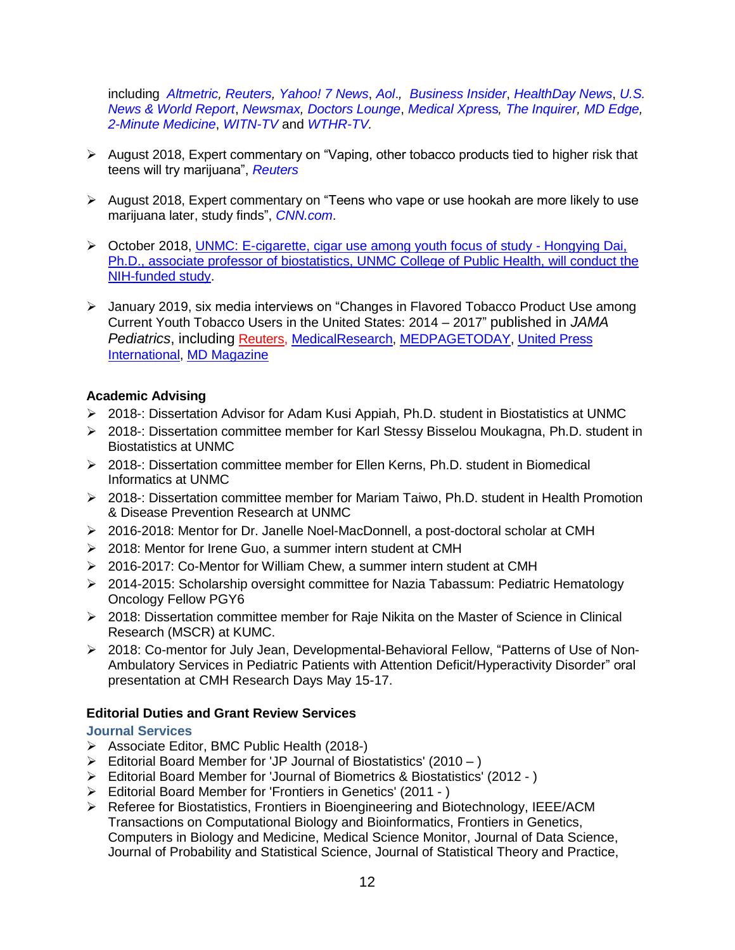including *[Altmetric,](https://www.altmetric.com/details/38887591?src=bookmarklet) [Reuters,](https://urldefense.proofpoint.com/v2/url?u=https-3A__www.reuters.com_article_us-2Dhealth-2Decigarettes-2Dteens_vaping-2Dtied-2Dto-2Dhigher-2Drisk-2Dthat-2Dteens-2Dwill-2Dtry-2Dmarijuana-2DidUSKBN1HU2MW&d=DwMFAg&c=Zl2T6vaIOSZ-iGixmidu-Jjpn1CKtCl7U5wJPI4UCTc&r=vmhpSwaauH9dDIUnqJYVMY-qsDJhi27Hiim0k2KJ_ZA&m=WL6rLCZPNY60jVG0cj_xZd3AzR9sGznSNC8G0YEgIuc&s=N1m2My1okeFPwIxhNQjG7Y2T7wYyOWK4P2qH_zvO2IA&e=) [Yahoo! 7 News](https://urldefense.proofpoint.com/v2/url?u=https-3A__au.news.yahoo.com_a_40040728_vaping-2Dtied-2Dto-2Dhigher-2Drisk-2Dthat-2Dteens-2Dwill-2Dtry-2Dmarijuana_&d=DwMFAg&c=Zl2T6vaIOSZ-iGixmidu-Jjpn1CKtCl7U5wJPI4UCTc&r=vmhpSwaauH9dDIUnqJYVMY-qsDJhi27Hiim0k2KJ_ZA&m=WL6rLCZPNY60jVG0cj_xZd3AzR9sGznSNC8G0YEgIuc&s=UzYulj3gdMWw8uRFabqw3pVIqd3ikwizvn5WZUP_BpA&e=)*, *[Aol](https://urldefense.proofpoint.com/v2/url?u=https-3A__www.aol.com_article_news_2018_04_23_vaping-2Dtied-2Dto-2Dhigher-2Drisk-2Dthat-2Dteens-2Dwill-2Dtry-2Dmarijuana_23418358_&d=DwMFAg&c=Zl2T6vaIOSZ-iGixmidu-Jjpn1CKtCl7U5wJPI4UCTc&r=vmhpSwaauH9dDIUnqJYVMY-qsDJhi27Hiim0k2KJ_ZA&m=WL6rLCZPNY60jVG0cj_xZd3AzR9sGznSNC8G0YEgIuc&s=pLhZ0jFhuFnhGQGoCg47NrOGTNRFY4qtGjz5iw4fzsA&e=)*.*, [Business Insider](https://urldefense.proofpoint.com/v2/url?u=http-3A__www.businessinsider.com_r-2Dvaping-2Dtied-2Dto-2Dhigher-2Drisk-2Dthat-2Dteens-2Dwill-2Dtry-2Dmarijuana-2D2018-2D4-3Fr-3DUK-26IR-3DT&d=DwMFAg&c=Zl2T6vaIOSZ-iGixmidu-Jjpn1CKtCl7U5wJPI4UCTc&r=vmhpSwaauH9dDIUnqJYVMY-qsDJhi27Hiim0k2KJ_ZA&m=WL6rLCZPNY60jVG0cj_xZd3AzR9sGznSNC8G0YEgIuc&s=RKSo2FQV-l2Ws_zIWJC73efWHXVFI_AKVDmgXBjYCK4&e=)*, *[HealthDay News](https://urldefense.proofpoint.com/v2/url?u=https-3A__consumer.healthday.com_cancer-2Dinformation-2D5_electronic-2Dcigarettes-2D970_could-2Dvaping-2Dlead-2Dteens-2Dto-2Dpot-2Dsmoking-2D733155.html&d=DwMFAg&c=Zl2T6vaIOSZ-iGixmidu-Jjpn1CKtCl7U5wJPI4UCTc&r=vmhpSwaauH9dDIUnqJYVMY-qsDJhi27Hiim0k2KJ_ZA&m=WL6rLCZPNY60jVG0cj_xZd3AzR9sGznSNC8G0YEgIuc&s=TnPScQafULsd4p0Xr8qh5Iv5YBkE5ivyUMpf0cxODpg&e=)*, *[U.S.](https://urldefense.proofpoint.com/v2/url?u=https-3A__health.usnews.com_health-2Dcare_articles_2018-2D04-2D23_could-2Dvaping-2Dlead-2Dteens-2Dto-2Dpot-2Dsmoking&d=DwMFAg&c=Zl2T6vaIOSZ-iGixmidu-Jjpn1CKtCl7U5wJPI4UCTc&r=vmhpSwaauH9dDIUnqJYVMY-qsDJhi27Hiim0k2KJ_ZA&m=WL6rLCZPNY60jVG0cj_xZd3AzR9sGznSNC8G0YEgIuc&s=3Ere_5qZxb9LHfHf7SHcM_VA8b9yQvN6P6MbZ02E1LI&e=)  [News & World Report](https://urldefense.proofpoint.com/v2/url?u=https-3A__health.usnews.com_health-2Dcare_articles_2018-2D04-2D23_could-2Dvaping-2Dlead-2Dteens-2Dto-2Dpot-2Dsmoking&d=DwMFAg&c=Zl2T6vaIOSZ-iGixmidu-Jjpn1CKtCl7U5wJPI4UCTc&r=vmhpSwaauH9dDIUnqJYVMY-qsDJhi27Hiim0k2KJ_ZA&m=WL6rLCZPNY60jVG0cj_xZd3AzR9sGznSNC8G0YEgIuc&s=3Ere_5qZxb9LHfHf7SHcM_VA8b9yQvN6P6MbZ02E1LI&e=)*, *[Newsmax,](https://urldefense.proofpoint.com/v2/url?u=https-3A__www.newsmax.com_health_health-2Dnews_teens-2Dvape-2Dmarijuana-2Dhealth_2018_04_23_id_856162_&d=DwMFAg&c=Zl2T6vaIOSZ-iGixmidu-Jjpn1CKtCl7U5wJPI4UCTc&r=vmhpSwaauH9dDIUnqJYVMY-qsDJhi27Hiim0k2KJ_ZA&m=WL6rLCZPNY60jVG0cj_xZd3AzR9sGznSNC8G0YEgIuc&s=Q7_GNqS-3IPRk7daAihefiUzcZsVl1oR5ISmTVIAOr4&e=) [Doctors Lounge](https://urldefense.proofpoint.com/v2/url?u=https-3A__www.doctorslounge.com_index.php_news_hd_79951&d=DwMFAg&c=Zl2T6vaIOSZ-iGixmidu-Jjpn1CKtCl7U5wJPI4UCTc&r=vmhpSwaauH9dDIUnqJYVMY-qsDJhi27Hiim0k2KJ_ZA&m=WL6rLCZPNY60jVG0cj_xZd3AzR9sGznSNC8G0YEgIuc&s=vbUqEOO4Fuar3RA5n1kTeCxRJ9zSAbyxPz3Q2JZvyaM&e=)*, *[Medical Xpr](https://urldefense.proofpoint.com/v2/url?u=https-3A__medicalxpress.com_news_2018-2D04-2Dvaping-2Dteens-2Dpot.html&d=DwMFAg&c=Zl2T6vaIOSZ-iGixmidu-Jjpn1CKtCl7U5wJPI4UCTc&r=vmhpSwaauH9dDIUnqJYVMY-qsDJhi27Hiim0k2KJ_ZA&m=WL6rLCZPNY60jVG0cj_xZd3AzR9sGznSNC8G0YEgIuc&s=whhouEDSEEjZOZWEBCwR4Hm_JxqTkitCLvsGUPZ1M3w&e=)*ess*, [The Inquirer,](https://urldefense.proofpoint.com/v2/url?u=http-3A__www.philly.com_philly_business_cannabis_HealthDay733155-5F20180423-5FCould-5FVaping-5FLead-5FTeens-5Fto-5FPot-5FSmoking-5F.html&d=DwMFAg&c=Zl2T6vaIOSZ-iGixmidu-Jjpn1CKtCl7U5wJPI4UCTc&r=vmhpSwaauH9dDIUnqJYVMY-qsDJhi27Hiim0k2KJ_ZA&m=WL6rLCZPNY60jVG0cj_xZd3AzR9sGznSNC8G0YEgIuc&s=Ts5G9fQFa2msFgxnRhsqiWsIpqztHGa-zdWhN_RNN0U&e=) [MD Edge,](https://urldefense.proofpoint.com/v2/url?u=https-3A__www.mdedge.com_psychiatry_article_163867_adolescent-2Dmedicine_e-2Dcigarette-2Duse-2Dteens-2Dincreases-2Drisk-2Dcannabis-2Duse&d=DwMFAg&c=Zl2T6vaIOSZ-iGixmidu-Jjpn1CKtCl7U5wJPI4UCTc&r=7NpryHmPZklUydsJr3mz_13GdvLijJBDGwX6T7U1xBg&m=yM0SivOEBW5J34_wCzTawjY9j2wWtGguR_LgTTQSiR4&s=Ps115HDiFpwH2BFDtDMUI7sZX0f0ZJbOHs9G7LfxCfQ&e=) [2-Minute Medicine](https://urldefense.proofpoint.com/v2/url?u=https-3A__www.2minutemedicine.com_teens-2De-2Dcigarette-2Duse-2Dindependently-2Dlinked-2Dto-2Dfuture-2Dmarijuana-2Duse_&d=DwMFAg&c=Zl2T6vaIOSZ-iGixmidu-Jjpn1CKtCl7U5wJPI4UCTc&r=7NpryHmPZklUydsJr3mz_13GdvLijJBDGwX6T7U1xBg&m=yM0SivOEBW5J34_wCzTawjY9j2wWtGguR_LgTTQSiR4&s=dMfozPRQJRWLvVxBx7s43coBhlIO8SRpWgGvSMkxJNw&e=)*, *[WITN-TV](https://urldefense.proofpoint.com/v2/url?u=http-3A__mms.tveyes.com_PlaybackPortal.aspx-3FSavedEditID-3D235ed6a3-2D2566-2D4226-2Db6c5-2D9d93d702862d&d=DwMFAg&c=Zl2T6vaIOSZ-iGixmidu-Jjpn1CKtCl7U5wJPI4UCTc&r=7NpryHmPZklUydsJr3mz_13GdvLijJBDGwX6T7U1xBg&m=yM0SivOEBW5J34_wCzTawjY9j2wWtGguR_LgTTQSiR4&s=-HV2VvgLdkkZXEwrrptIHM7zwm7J1IOyr6YqWO9uGwU&e=)* and *[WTHR-TV.](https://urldefense.proofpoint.com/v2/url?u=http-3A__mms.tveyes.com_PlaybackPortal.aspx-3FSavedEditID-3Da1eca345-2D8eb4-2D4ed8-2Db05f-2D4ece4a465d45&d=DwMFAg&c=Zl2T6vaIOSZ-iGixmidu-Jjpn1CKtCl7U5wJPI4UCTc&r=7NpryHmPZklUydsJr3mz_13GdvLijJBDGwX6T7U1xBg&m=yM0SivOEBW5J34_wCzTawjY9j2wWtGguR_LgTTQSiR4&s=Jk2TbgUiRP6GehmqOp-Ync9SPvA-O8RXNuF_xDPfJRA&e=)*

- $\triangleright$  August 2018, Expert commentary on "Vaping, other tobacco products tied to higher risk that teens will try marijuana", *[Reuters](https://www.reuters.com/article/us-health-kids-smoking/vaping-other-tobacco-products-tied-to-higher-risk-that-teens-will-try-marijuana-idUSKBN1KR279)*
- $\triangleright$  August 2018, Expert commentary on "Teens who vape or use hookah are more likely to use marijuana later, study finds", *[CNN.com](https://www.cnn.com/2018/08/06/health/vape-hookah-marijuana-teens-study/index.html)*.
- October 2018, [UNMC: E-cigarette, cigar use among youth focus of study -](https://www.unmc.edu/news.cfm?match=22780&pk_campaign=email&pk_kwd=Ecigarette_cigar_use_among_youth_focus_of_study) Hongying Dai, [Ph.D., associate professor of biostatistics, UNMC College of Public Health, will conduct the](https://www.unmc.edu/news.cfm?match=22780&pk_campaign=email&pk_kwd=Ecigarette_cigar_use_among_youth_focus_of_study)  [NIH-funded study.](https://www.unmc.edu/news.cfm?match=22780&pk_campaign=email&pk_kwd=Ecigarette_cigar_use_among_youth_focus_of_study)
- January 2019, six media interviews on "Changes in Flavored Tobacco Product Use among Current Youth Tobacco Users in the United States: 2014 – 2017" published in *JAMA Pediatrics*, including [Reuters,](https://www.reuters.com/article/us-health-teens-smoking/flavored-tobacco-use-rising-in-us-kids-as-vaping-takes-off-idUSKCN1P129X) [MedicalResearch,](https://medicalresearch.com/tobacco-research/teen-e-cigarette-use-drives-flavored-tobacco-sales/46792/) [MEDPAGETODAY,](https://www.medpagetoday.com/pulmonology/smoking/77297) [United Press](https://www.upi.com/Health_News/2019/01/07/E-cig-popularity-fuels-spike-in-flavored-tobacco-use-among-teenagers/7861546869869/?rc_fifo=1)  [International,](https://www.upi.com/Health_News/2019/01/07/E-cig-popularity-fuels-spike-in-flavored-tobacco-use-among-teenagers/7861546869869/?rc_fifo=1) [MD Magazine](https://www.mdmag.com/medical-news/use-flavored-tobacco-products-rise-youth)

# **Academic Advising**

- 2018-: Dissertation Advisor for Adam Kusi Appiah, Ph.D. student in Biostatistics at UNMC
- 2018-: Dissertation committee member for [Karl Stessy Bisselou Moukagna,](https://www.unmc.edu/publichealth/departments/biostatistics/current-students/karl.html) Ph.D. student in Biostatistics at UNMC
- 2018-: Dissertation committee member for Ellen Kerns, Ph.D. student in Biomedical Informatics at UNMC
- 2018-: Dissertation committee member for Mariam Taiwo, Ph.D. student in Health Promotion & Disease Prevention Research at UNMC
- 2016-2018: Mentor for Dr. Janelle Noel-MacDonnell, a post-doctoral scholar at CMH
- ▶ 2018: Mentor for Irene Guo, a summer intern student at CMH
- 2016-2017: Co-Mentor for William Chew, a summer intern student at CMH
- 2014-2015: Scholarship oversight committee for Nazia Tabassum: Pediatric Hematology Oncology Fellow PGY6
- $\geq$  2018: Dissertation committee member for Raje Nikita on the Master of Science in Clinical Research (MSCR) at KUMC.
- 2018: Co-mentor for July Jean, Developmental-Behavioral Fellow, "Patterns of Use of Non-Ambulatory Services in Pediatric Patients with Attention Deficit/Hyperactivity Disorder" oral presentation at CMH Research Days May 15-17.

## **Editorial Duties and Grant Review Services**

#### **Journal Services**

- Associate Editor, BMC Public Health (2018-)
- $\triangleright$  Editorial Board Member for 'JP Journal of Biostatistics' (2010 )
- Editorial Board Member for 'Journal of Biometrics & Biostatistics' (2012 )
- Editorial Board Member for 'Frontiers in Genetics' (2011 )
- Referee for Biostatistics, Frontiers in Bioengineering and Biotechnology, IEEE/ACM Transactions on Computational Biology and Bioinformatics, Frontiers in Genetics, Computers in Biology and Medicine, Medical Science Monitor, Journal of Data Science, Journal of Probability and Statistical Science, Journal of Statistical Theory and Practice,